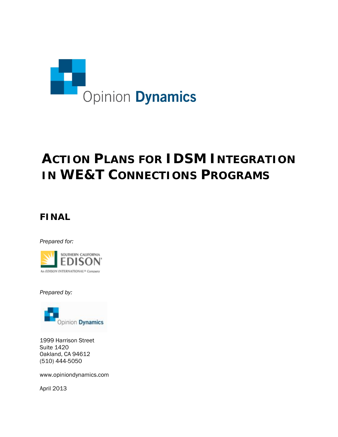

# **ACTION PLANS FOR IDSM INTEGRATION IN WE&T CONNECTIONS PROGRAMS**

## **FINAL**

*Prepared for:*



*Prepared by:*



1999 Harrison Street Suite 1420 Oakland, CA 94612 (510) 444-5050

www.opiniondynamics.com

April 2013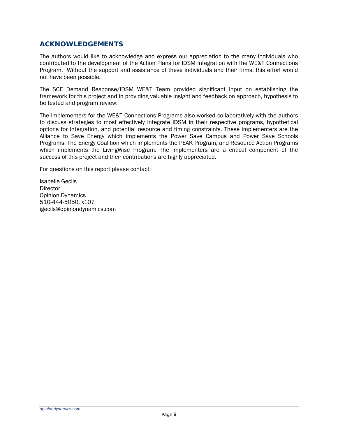### *ACKNOWLEDGEMENTS*

The authors would like to acknowledge and express our appreciation to the many individuals who contributed to the development of the Action Plans for IDSM Integration with the WE&T Connections Program. Without the support and assistance of these individuals and their firms, this effort would not have been possible.

The SCE Demand Response/IDSM WE&T Team provided significant input on establishing the framework for this project and in providing valuable insight and feedback on approach, hypothesis to be tested and program review.

The implementers for the WE&T Connections Programs also worked collaboratively with the authors to discuss strategies to most effectively integrate IDSM in their respective programs, hypothetical options for integration, and potential resource and timing constraints. These implementers are the Alliance to Save Energy which implements the Power Save Campus and Power Save Schools Programs, The Energy Coalition which implements the PEAK Program, and Resource Action Programs which implements the LivingWise Program. The implementers are a critical component of the success of this project and their contributions are highly appreciated.

For questions on this report please contact:

Isabelle Gecils **Director** Opinion Dynamics 510-444-5050, x107 igecils@opiniondynamics.com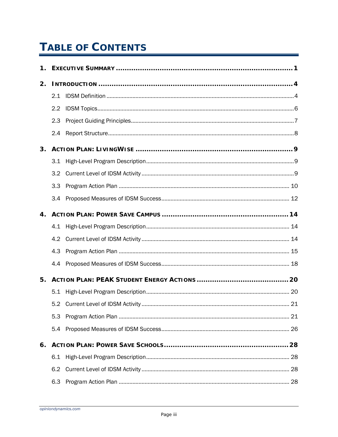# **TABLE OF CONTENTS**

| 1. |                  |  |
|----|------------------|--|
| 2. |                  |  |
|    | 2.1              |  |
|    | $2.2\phantom{0}$ |  |
|    | 2.3              |  |
|    | 2.4              |  |
| 3. |                  |  |
|    | 3.1              |  |
|    | 3.2              |  |
|    | 3.3              |  |
|    | 3.4              |  |
| 4. |                  |  |
|    | 4.1              |  |
|    | 4.2              |  |
|    | 4.3              |  |
|    | 4.4              |  |
| 5. |                  |  |
|    | 5.1              |  |
|    | 5.2              |  |
|    | 5.3              |  |
|    | 5.4              |  |
| 6. |                  |  |
|    | 6.1              |  |
|    | 6.2              |  |
|    | 6.3              |  |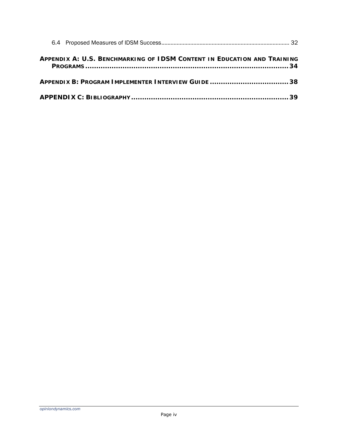| APPENDIX A: U.S. BENCHMARKING OF IDSM CONTENT IN EDUCATION AND TRAINING |  |
|-------------------------------------------------------------------------|--|
|                                                                         |  |
|                                                                         |  |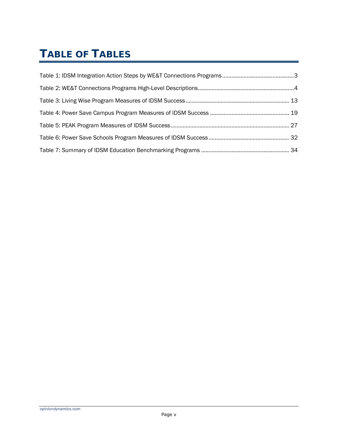# **TABLE OF TABLES**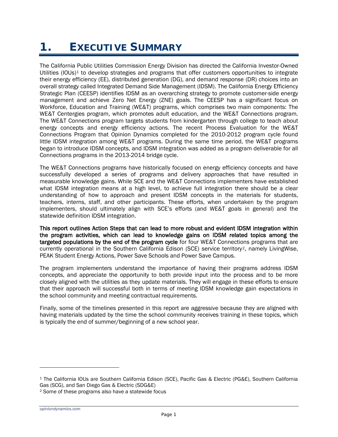# <span id="page-5-0"></span>**1. EXECUTIVE SUMMARY**

The California Public Utilities Commission Energy Division has directed the California Investor-Owned Utilities (IOUs)<sup>[1](#page-5-1)</sup> to develop strategies and programs that offer customers opportunities to integrate their energy efficiency (EE), distributed generation (DG), and demand response (DR) choices into an overall strategy called Integrated Demand Side Management (IDSM). The California Energy Efficiency Strategic Plan (CEESP) identifies IDSM as an overarching strategy to promote customer-side energy management and achieve Zero Net Energy (ZNE) goals. The CEESP has a significant focus on Workforce, Education and Training (WE&T) programs, which comprises two main components: The WE&T Centergies program, which promotes adult education, and the WE&T Connections program. The WE&T Connections program targets students from kindergarten through college to teach about energy concepts and energy efficiency actions. The recent Process Evaluation for the WE&T Connections Program that Opinion Dynamics completed for the 2010-2012 program cycle found little IDSM integration among WE&T programs. During the same time period, the WE&T programs began to introduce IDSM concepts, and IDSM integration was added as a program deliverable for all Connections programs in the 2013-2014 bridge cycle.

The WE&T Connections programs have historically focused on energy efficiency concepts and have successfully developed a series of programs and delivery approaches that have resulted in measurable knowledge gains. While SCE and the WE&T Connections implementers have established what IDSM integration means at a high level, to achieve full integration there should be a clear understanding of how to approach and present IDSM concepts in the materials for students, teachers, interns, staff, and other participants. These efforts, when undertaken by the program implementers, should ultimately align with SCE's efforts (and WE&T goals in general) and the statewide definition IDSM integration.

This report outlines Action Steps that can lead to more robust and evident IDSM integration within the program activities, which can lead to knowledge gains on IDSM related topics among the targeted populations by the end of the program cycle for four WE&T Connections programs that are currently operational in the Southern California Edison (SCE) service territory[2](#page-5-2), namely LivingWise, PEAK Student Energy Actions, Power Save Schools and Power Save Campus.

The program implementers understand the importance of having their programs address IDSM concepts, and appreciate the opportunity to both provide input into the process and to be more closely aligned with the utilities as they update materials. They will engage in these efforts to ensure that their approach will successful both in terms of meeting IDSM knowledge gain expectations in the school community and meeting contractual requirements.

Finally, some of the timelines presented in this report are aggressive because they are aligned with having materials updated by the time the school community receives training in these topics, which is typically the end of summer/beginning of a new school year.

```
opiniondynamics.com
```
1

<span id="page-5-1"></span><sup>1</sup> The California IOUs are Southern California Edison (SCE), Pacific Gas & Electric (PG&E), Southern California Gas (SCG), and San Diego Gas & Electric (SDG&E)

<span id="page-5-2"></span><sup>2</sup> Some of these programs also have a statewide focus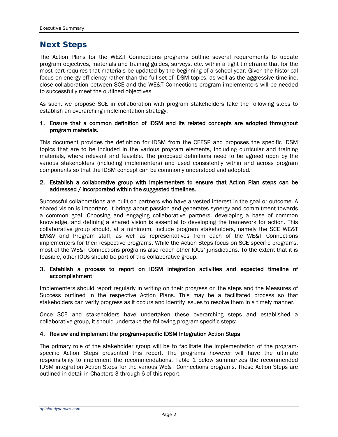### **Next Steps**

The Action Plans for the WE&T Connections programs outline several requirements to update program objectives, materials and training guides, surveys, etc. within a tight timeframe that for the most part requires that materials be updated by the beginning of a school year. Given the historical focus on energy efficiency rather than the full set of IDSM topics, as well as the aggressive timeline, close collaboration between SCE and the WE&T Connections program implementers will be needed to successfully meet the outlined objectives.

As such, we propose SCE in collaboration with program stakeholders take the following steps to establish an overarching implementation strategy:

#### 1. Ensure that a common definition of IDSM and its related concepts are adopted throughout program materials.

This document provides the definition for IDSM from the CEESP and proposes the specific IDSM topics that are to be included in the various program elements, including curricular and training materials, where relevant and feasible. The proposed definitions need to be agreed upon by the various stakeholders (including implementers) and used consistently within and across program components so that the IDSM concept can be commonly understood and adopted.

#### 2. Establish a collaborative group with implementers to ensure that Action Plan steps can be addressed / incorporated within the suggested timelines.

Successful collaborations are built on partners who have a vested interest in the goal or outcome. A shared vision is important. It brings about passion and generates synergy and commitment towards a common goal. Choosing and engaging collaborative partners, developing a base of common knowledge, and defining a shared vision is essential to developing the framework for action. This collaborative group should, at a minimum, include program stakeholders, namely the SCE WE&T EM&V and Program staff, as well as representatives from each of the WE&T Connections implementers for their respective programs. While the Action Steps focus on SCE specific programs, most of the WE&T Connections programs also reach other IOUs' jurisdictions. To the extent that it is feasible, other IOUs should be part of this collaborative group.

#### 3. Establish a process to report on IDSM integration activities and expected timeline of accomplishment

Implementers should report regularly in writing on their progress on the steps and the Measures of Success outlined in the respective Action Plans. This may be a facilitated process so that stakeholders can verify progress as it occurs and identify issues to resolve them in a timely manner.

Once SCE and stakeholders have undertaken these overarching steps and established a collaborative group, it should undertake the following program-specific steps:

#### 4. Review and implement the program-specific IDSM Integration Action Steps

The primary role of the stakeholder group will be to facilitate the implementation of the programspecific Action Steps presented this report. The programs however will have the ultimate responsibility to implement the recommendations. Table 1 below summarizes the recommended IDSM integration Action Steps for the various WE&T Connections programs. These Action Steps are outlined in detail in Chapters [3](#page-13-0) through [6](#page-32-0) of this report.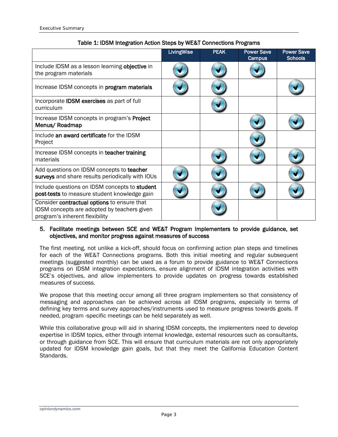<span id="page-7-0"></span>

|                                                                                                                              | LivingWise | <b>PEAK</b> | <b>Power Save</b><br>Campus | <b>Power Save</b><br><b>Schools</b> |
|------------------------------------------------------------------------------------------------------------------------------|------------|-------------|-----------------------------|-------------------------------------|
| Include IDSM as a lesson learning objective in<br>the program materials                                                      |            |             |                             |                                     |
| Increase IDSM concepts in <b>program materials</b>                                                                           |            |             |                             |                                     |
| Incorporate <b>IDSM</b> exercises as part of full<br>curriculum                                                              |            |             |                             |                                     |
| Increase IDSM concepts in program's Project<br>Menus/Roadmap                                                                 |            |             |                             |                                     |
| Include an award certificate for the IDSM<br>Project                                                                         |            |             |                             |                                     |
| Increase IDSM concepts in teacher training<br>materials                                                                      |            |             |                             |                                     |
| Add questions on IDSM concepts to teacher<br>surveys and share results periodically with IOUs                                |            |             |                             |                                     |
| Include questions on IDSM concepts to student<br>post-tests to measure student knowledge gain                                |            |             |                             |                                     |
| Consider contractual options to ensure that<br>IDSM concepts are adopted by teachers given<br>program's inherent flexibility |            |             |                             |                                     |

### Table 1: IDSM Integration Action Steps by WE&T Connections Programs

#### 5. Facilitate meetings between SCE and WE&T Program Implementers to provide guidance, set objectives, and monitor progress against measures of success

The first meeting, not unlike a kick-off, should focus on confirming action plan steps and timelines for each of the WE&T Connections programs. Both this initial meeting and regular subsequent meetings (suggested monthly) can be used as a forum to provide guidance to WE&T Connections programs on IDSM integration expectations, ensure alignment of IDSM integration activities with SCE's objectives, and allow implementers to provide updates on progress towards established measures of success.

We propose that this meeting occur among all three program implementers so that consistency of messaging and approaches can be achieved across all IDSM programs, especially in terms of defining key terms and survey approaches/instruments used to measure progress towards goals. If needed, program -specific meetings can be held separately as well.

While this collaborative group will aid in sharing IDSM concepts, the implementers need to develop expertise in IDSM topics, either through internal knowledge, external resources such as consultants, or through guidance from SCE. This will ensure that curriculum materials are not only appropriately updated for IDSM knowledge gain goals, but that they meet the California Education Content Standards.

*opiniondynamics.com*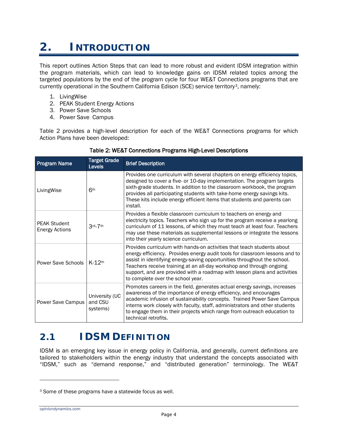# <span id="page-8-0"></span>**2. INTRODUCTION**

This report outlines Action Steps that can lead to more robust and evident IDSM integration within the program materials, which can lead to knowledge gains on IDSM related topics among the targeted populations by the end of the program cycle for four WE&T Connections programs that are currently operational in the Southern California Edison (SCE) service territory[3](#page-8-3), namely:

- 1. LivingWise
- 2. PEAK Student Energy Actions
- 3. Power Save Schools
- 4. Power Save Campus

<span id="page-8-2"></span>[Table](#page-8-2) 2 provides a high-level description for each of the WE&T Connections programs for which Action Plans have been developed:

| <b>Program Name</b>                          | <b>Target Grade</b><br><b>Levels</b>  | <b>Brief Description</b>                                                                                                                                                                                                                                                                                                                                                                                                    |
|----------------------------------------------|---------------------------------------|-----------------------------------------------------------------------------------------------------------------------------------------------------------------------------------------------------------------------------------------------------------------------------------------------------------------------------------------------------------------------------------------------------------------------------|
| LivingWise                                   | 6 <sup>th</sup>                       | Provides one curriculum with several chapters on energy efficiency topics,<br>designed to cover a five- or 10-day implementation. The program targets<br>sixth-grade students. In addition to the classroom workbook, the program<br>provides all participating students with take-home energy savings kits.<br>These kits include energy efficient items that students and parents can<br>install.                         |
| <b>PEAK Student</b><br><b>Energy Actions</b> | 3rd <sub>-7th</sub>                   | Provides a flexible classroom curriculum to teachers on energy and<br>electricity topics. Teachers who sign up for the program receive a yearlong<br>curriculum of 11 lessons, of which they must teach at least four. Teachers<br>may use these materials as supplemental lessons or integrate the lessons<br>into their yearly science curriculum.                                                                        |
| Power Save Schools                           | $K-12$ th                             | Provides curriculum with hands-on activities that teach students about<br>energy efficiency. Provides energy audit tools for classroom lessons and to<br>assist in identifying energy-saving opportunities throughout the school.<br>Teachers receive training at an all-day workshop and through ongoing<br>support, and are provided with a roadmap with lesson plans and activities<br>to complete over the school year. |
| Power Save Campus                            | University (UC<br>and CSU<br>systems) | Promotes careers in the field, generates actual energy savings, increases<br>awareness of the importance of energy efficiency, and encourages<br>academic infusion of sustainability concepts. Trained Power Save Campus<br>interns work closely with faculty, staff, administrators and other students<br>to engage them in their projects which range from outreach education to<br>technical retrofits.                  |

#### Table 2: WE&T Connections Programs High-Level Descriptions

## <span id="page-8-1"></span>*2.1 IDSM DEFINITION*

IDSM is an emerging key issue in energy policy in California, and generally, current definitions are tailored to stakeholders within the energy industry that understand the concepts associated with "IDSM," such as "demand response," and "distributed generation" terminology. The WE&T

<span id="page-8-3"></span><sup>3</sup> Some of these programs have a statewide focus as well.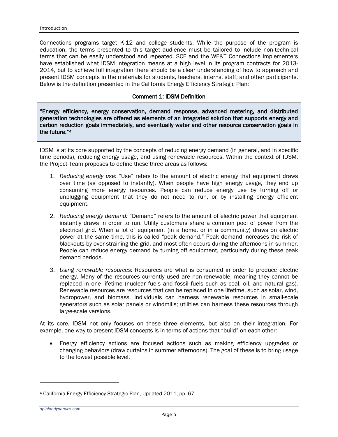Connections programs target K-12 and college students. While the purpose of the program is education, the terms presented to this target audience must be tailored to include non-technical terms that can be easily understood and repeated. SCE and the WE&T Connections implementers have established what IDSM integration means at a high level in its program contracts for 2013- 2014, but to achieve full integration there should be a clear understanding of how to approach and present IDSM concepts in the materials for students, teachers, interns, staff, and other participants. Below is the definition presented in the California Energy Efficiency Strategic Plan:

#### Comment 1: IDSM Definition

"Energy efficiency, energy conservation, demand response, advanced metering, and distributed generation technologies are offered as elements of an integrated solution that supports energy and carbon reduction goals immediately, and eventually water and other resource conservation goals in the future."[4](#page-9-0) 

IDSM is at its core supported by the concepts of reducing energy demand (in general, and in specific time periods), reducing energy usage, and using renewable resources. Within the context of IDSM, the Project Team proposes to define these three areas as follows:

- 1. *Reducing energy use:* "Use" refers to the amount of electric energy that equipment draws over time (as opposed to instantly). When people have high energy usage, they end up consuming more energy resources. People can reduce energy use by turning off or unplugging equipment that they do not need to run, or by installing energy efficient equipment.
- 2. *Reducing energy demand:* "Demand" refers to the amount of electric power that equipment instantly draws in order to run. Utility customers share a common pool of power from the electrical grid. When a lot of equipment (in a home, or in a community) draws on electric power at the same time, this is called "peak demand." Peak demand increases the risk of blackouts by over-straining the grid, and most often occurs during the afternoons in summer. People can reduce energy demand by turning off equipment, particularly during these peak demand periods.
- 3. *Using renewable resources:* Resources are what is consumed in order to produce electric energy. Many of the resources currently used are non-renewable, meaning they cannot be replaced in one lifetime (nuclear fuels and fossil fuels such as coal, oil, and natural gas). Renewable resources are resources that can be replaced in one lifetime, such as solar, wind, hydropower, and biomass. Individuals can harness renewable resources in small-scale generators such as solar panels or windmills; utilities can harness these resources through large-scale versions.

At its core, IDSM not only focuses on these three elements, but also on their integration. For example, one way to present IDSM concepts is in terms of actions that "build" on each other:

• Energy efficiency actions are focused actions such as making efficiency upgrades or changing behaviors (draw curtains in summer afternoons). The goal of these is to bring usage to the lowest possible level.

1

<span id="page-9-0"></span><sup>4</sup> California Energy Efficiency Strategic Plan, Updated 2011, pp. 67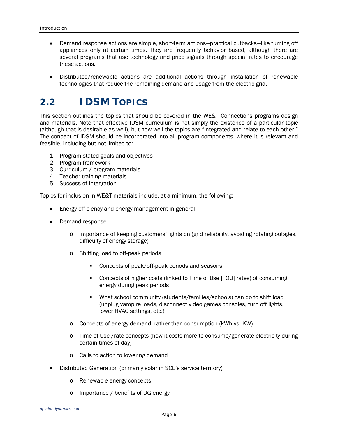- Demand response actions are simple, short-term actions—practical cutbacks—like turning off appliances only at certain times. They are frequently behavior based, although there are several programs that use technology and price signals through special rates to encourage these actions.
- Distributed/renewable actions are additional actions through installation of renewable technologies that reduce the remaining demand and usage from the electric grid.

## <span id="page-10-0"></span>*2.2 IDSM TOPICS*

This section outlines the topics that should be covered in the WE&T Connections programs design and materials. Note that effective IDSM curriculum is not simply the existence of a particular topic (although that is desirable as well), but how well the topics are "integrated and relate to each other." The concept of IDSM should be incorporated into all program components, where it is relevant and feasible, including but not limited to:

- 1. Program stated goals and objectives
- 2. Program framework
- 3. Curriculum / program materials
- 4. Teacher training materials
- 5. Success of Integration

Topics for inclusion in WE&T materials include, at a minimum, the following:

- Energy efficiency and energy management in general
- Demand response
	- o Importance of keeping customers' lights on (grid reliability, avoiding rotating outages, difficulty of energy storage)
	- o Shifting load to off-peak periods
		- **Concepts of peak/off-peak periods and seasons**
		- Concepts of higher costs (linked to Time of Use [TOU] rates) of consuming energy during peak periods
		- What school community (students/families/schools) can do to shift load (unplug vampire loads, disconnect video games consoles, turn off lights, lower HVAC settings, etc.)
	- o Concepts of energy demand, rather than consumption (kWh vs. KW)
	- o Time of Use /rate concepts (how it costs more to consume/generate electricity during certain times of day)
	- o Calls to action to lowering demand
- Distributed Generation (primarily solar in SCE's service territory)
	- o Renewable energy concepts
	- o Importance / benefits of DG energy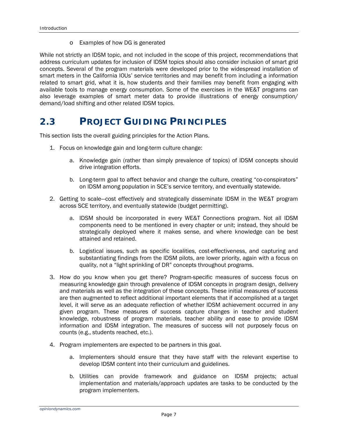o Examples of how DG is generated

While not strictly an IDSM topic, and not included in the scope of this project, recommendations that address curriculum updates for inclusion of IDSM topics should also consider inclusion of smart grid concepts. Several of the program materials were developed prior to the widespread installation of smart meters in the California IOUs' service territories and may benefit from including a information related to smart grid, what it is, how students and their families may benefit from engaging with available tools to manage energy consumption. Some of the exercises in the WE&T programs can also leverage examples of smart meter data to provide illustrations of energy consumption/ demand/load shifting and other related IDSM topics.

## <span id="page-11-0"></span>*2.3 PROJECT GUIDING PRINCIPLES*

This section lists the overall guiding principles for the Action Plans.

- 1. Focus on knowledge gain and long-term culture change:
	- a. Knowledge gain (rather than simply prevalence of topics) of IDSM concepts should drive integration efforts.
	- b. Long-term goal to affect behavior and change the culture, creating "co-conspirators" on IDSM among population in SCE's service territory, and eventually statewide.
- 2. Getting to scale—cost effectively and strategically disseminate IDSM in the WE&T program across SCE territory, and eventually statewide (budget permitting).
	- a. IDSM should be incorporated in every WE&T Connections program. Not all IDSM components need to be mentioned in every chapter or unit; instead, they should be strategically deployed where it makes sense, and where knowledge can be best attained and retained.
	- b. Logistical issues, such as specific localities, cost-effectiveness, and capturing and substantiating findings from the IDSM pilots, are lower priority, again with a focus on quality, not a "light sprinkling of DR" concepts throughout programs.
- 3. How do you know when you get there? Program-specific measures of success focus on measuring knowledge gain through prevalence of IDSM concepts in program design, delivery and materials as well as the integration of these concepts. These initial measures of success are then augmented to reflect additional important elements that if accomplished at a target level, it will serve as an adequate reflection of whether IDSM achievement occurred in any given program. These measures of success capture changes in teacher and student knowledge, robustness of program materials, teacher ability and ease to provide IDSM information and IDSM integration. The measures of success will not purposely focus on counts (e.g., students reached, etc.).
- 4. Program implementers are expected to be partners in this goal.
	- a. Implementers should ensure that they have staff with the relevant expertise to develop IDSM content into their curriculum and guidelines.
	- b. Utilities can provide framework and guidance on IDSM projects; actual implementation and materials/approach updates are tasks to be conducted by the program implementers.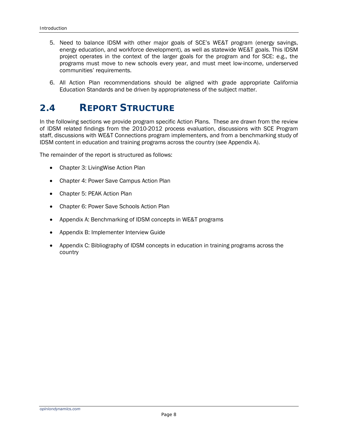- 5. Need to balance IDSM with other major goals of SCE's WE&T program (energy savings, energy education, and workforce development), as well as statewide WE&T goals. This IDSM project operates in the context of the larger goals for the program and for SCE: e.g., the programs must move to new schools every year, and must meet low-income, underserved communities' requirements.
- 6. All Action Plan recommendations should be aligned with grade appropriate California Education Standards and be driven by appropriateness of the subject matter.

## <span id="page-12-0"></span>*2.4 REPORT STRUCTURE*

In the following sections we provide program specific Action Plans. These are drawn from the review of IDSM related findings from the 2010-2012 process evaluation, discussions with SCE Program staff, discussions with WE&T Connections program implementers, and from a benchmarking study of IDSM content in education and training programs across the country (see Appendix A).

The remainder of the report is structured as follows:

- Chapter 3: Living Wise Action Plan
- Chapter 4: Power Save Campus Action Plan
- Chapter 5: PEAK Action Plan
- Chapter 6: Power Save Schools Action Plan
- Appendix A: Benchmarking of IDSM concepts in WE&T programs
- Appendix B: Implementer Interview Guide
- Appendix C: Bibliography of IDSM concepts in education in training programs across the country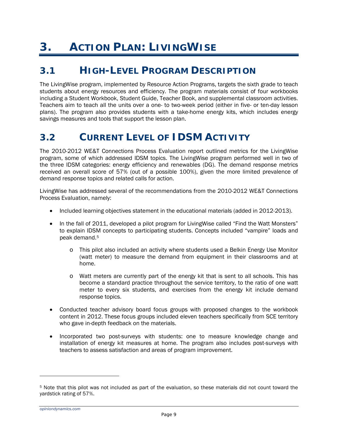# <span id="page-13-0"></span>**3. ACTION PLAN: LIVINGWISE**

## <span id="page-13-1"></span>*3.1 HIGH-LEVEL PROGRAM DESCRIPTION*

The LivingWise program, implemented by Resource Action Programs, targets the sixth grade to teach students about energy resources and efficiency. The program materials consist of four workbooks including a Student Workbook, Student Guide, Teacher Book, and supplemental classroom activities. Teachers aim to teach all the units over a one- to two-week period (either in five- or ten-day lesson plans). The program also provides students with a take-home energy kits, which includes energy savings measures and tools that support the lesson plan.

## <span id="page-13-2"></span>*3.2 CURRENT LEVEL OF IDSM ACTIVITY*

The 2010-2012 WE&T Connections Process Evaluation report outlined metrics for the LivingWise program, some of which addressed IDSM topics. The LivingWise program performed well in two of the three IDSM categories: energy efficiency and renewables (DG). The demand response metrics received an overall score of 57% (out of a possible 100%), given the more limited prevalence of demand response topics and related calls for action.

LivingWise has addressed several of the recommendations from the 2010-2012 WE&T Connections Process Evaluation, namely:

- Included learning objectives statement in the educational materials (added in 2012-2013).
- In the fall of 2011, developed a pilot program for LivingWise called "Find the Watt Monsters" to explain IDSM concepts to participating students. Concepts included "vampire" loads and peak demand.[5](#page-13-3)
	- o This pilot also included an activity where students used a Belkin Energy Use Monitor (watt meter) to measure the demand from equipment in their classrooms and at home.
	- o Watt meters are currently part of the energy kit that is sent to all schools. This has become a standard practice throughout the service territory, to the ratio of one watt meter to every six students, and exercises from the energy kit include demand response topics.
- Conducted teacher advisory board focus groups with proposed changes to the workbook content in 2012. These focus groups included eleven teachers specifically from SCE territory who gave in-depth feedback on the materials.
- Incorporated two post-surveys with students: one to measure knowledge change and installation of energy kit measures at home. The program also includes post-surveys with teachers to assess satisfaction and areas of program improvement.

<span id="page-13-3"></span><sup>5</sup> Note that this pilot was not included as part of the evaluation, so these materials did not count toward the yardstick rating of 57%.

*opiniondynamics.com*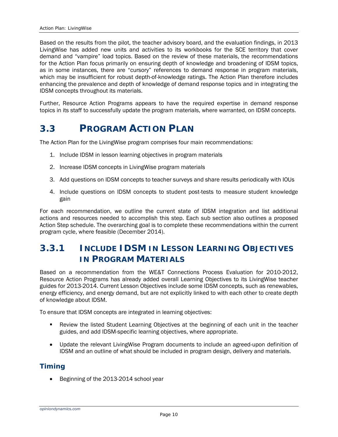Based on the results from the pilot, the teacher advisory board, and the evaluation findings, in 2013 LivingWise has added new units and activities to its workbooks for the SCE territory that cover demand and "vampire" load topics. Based on the review of these materials, the recommendations for the Action Plan focus primarily on ensuring depth of knowledge and broadening of IDSM topics, as in some instances, there are "cursory" references to demand response in program materials, which may be insufficient for robust depth-of-knowledge ratings. The Action Plan therefore includes enhancing the prevalence and depth of knowledge of demand response topics and in integrating the IDSM concepts throughout its materials.

Further, Resource Action Programs appears to have the required expertise in demand response topics in its staff to successfully update the program materials, where warranted, on IDSM concepts.

## <span id="page-14-0"></span>*3.3 PROGRAM ACTION PLAN*

The Action Plan for the LivingWise program comprises four main recommendations:

- 1. Include IDSM in lesson learning objectives in program materials
- 2. Increase IDSM concepts in LivingWise program materials
- 3. Add questions on IDSM concepts to teacher surveys and share results periodically with IOUs
- 4. Include questions on IDSM concepts to student post-tests to measure student knowledge gain

For each recommendation, we outline the current state of IDSM integration and list additional actions and resources needed to accomplish this step. Each sub section also outlines a proposed Action Step schedule. The overarching goal is to complete these recommendations within the current program cycle, where feasible (December 2014).

## **3.3.1 INCLUDE IDSM IN LESSON LEARNING OBJECTIVES IN PROGRAM MATERIALS**

Based on a recommendation from the WE&T Connections Process Evaluation for 2010-2012, Resource Action Programs has already added overall Learning Objectives to its LivingWise teacher guides for 2013-2014. Current Lesson Objectives include some IDSM concepts, such as renewables, energy efficiency, and energy demand, but are not explicitly linked to with each other to create depth of knowledge about IDSM.

To ensure that IDSM concepts are integrated in learning objectives:

- Review the listed Student Learning Objectives at the beginning of each unit in the teacher guides, and add IDSM-specific learning objectives, where appropriate.
- Update the relevant LivingWise Program documents to include an agreed-upon definition of IDSM and an outline of what should be included in program design, delivery and materials.

### *Timing*

• Beginning of the 2013-2014 school year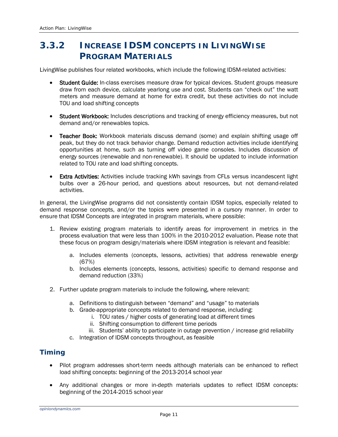## **3.3.2 INCREASE IDSM CONCEPTS IN LIVINGWISE PROGRAM MATERIALS**

LivingWise publishes four related workbooks, which include the following IDSM-related activities:

- Student Guide: In-class exercises measure draw for typical devices. Student groups measure draw from each device, calculate yearlong use and cost. Students can "check out" the watt meters and measure demand at home for extra credit, but these activities do not include TOU and load shifting concepts
- Student Workbook: Includes descriptions and tracking of energy efficiency measures, but not demand and/or renewables topics.
- Teacher Book: Workbook materials discuss demand (some) and explain shifting usage off peak, but they do not track behavior change. Demand reduction activities include identifying opportunities at home, such as turning off video game consoles. Includes discussion of energy sources (renewable and non-renewable). It should be updated to include information related to TOU rate and load shifting concepts.
- **Extra Activities:** Activities include tracking kWh savings from CFLs versus incandescent light bulbs over a 26-hour period, and questions about resources, but not demand-related activities.

In general, the LivingWise programs did not consistently contain IDSM topics, especially related to demand response concepts, and/or the topics were presented in a cursory manner. In order to ensure that IDSM Concepts are integrated in program materials, where possible:

- 1. Review existing program materials to identify areas for improvement in metrics in the process evaluation that were less than 100% in the 2010-2012 evaluation. Please note that these focus on program design/materials where IDSM integration is relevant and feasible:
	- a. Includes elements (concepts, lessons, activities) that address renewable energy (67%)
	- b. Includes elements (concepts, lessons, activities) specific to demand response and demand reduction (33%)
- 2. Further update program materials to include the following, where relevant:
	- a. Definitions to distinguish between "demand" and "usage" to materials
	- b. Grade-appropriate concepts related to demand response, including:
		- i. TOU rates / higher costs of generating load at different times
			- ii. Shifting consumption to different time periods
		- iii. Students' ability to participate in outage prevention / increase grid reliability
	- c. Integration of IDSM concepts throughout, as feasible

### *Timing*

- Pilot program addresses short-term needs although materials can be enhanced to reflect load shifting concepts: beginning of the 2013-2014 school year
- Any additional changes or more in-depth materials updates to reflect IDSM concepts: beginning of the 2014-2015 school year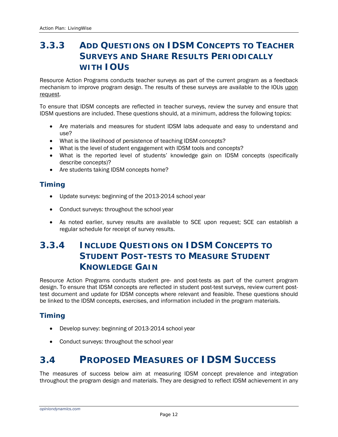## **3.3.3 ADD QUESTIONS ON IDSM CONCEPTS TO TEACHER SURVEYS AND SHARE RESULTS PERIODICALLY WITH IOUS**

Resource Action Programs conducts teacher surveys as part of the current program as a feedback mechanism to improve program design. The results of these surveys are available to the IOUs upon request.

To ensure that IDSM concepts are reflected in teacher surveys, review the survey and ensure that IDSM questions are included. These questions should, at a minimum, address the following topics:

- Are materials and measures for student IDSM labs adequate and easy to understand and use?
- What is the likelihood of persistence of teaching IDSM concepts?
- What is the level of student engagement with IDSM tools and concepts?
- What is the reported level of students' knowledge gain on IDSM concepts (specifically describe concepts)?
- Are students taking IDSM concepts home?

### *Timing*

- Update surveys: beginning of the 2013-2014 school year
- Conduct surveys: throughout the school year
- As noted earlier, survey results are available to SCE upon request; SCE can establish a regular schedule for receipt of survey results.

## **3.3.4 INCLUDE QUESTIONS ON IDSM CONCEPTS TO STUDENT POST-TESTS TO MEASURE STUDENT KNOWLEDGE GAIN**

Resource Action Programs conducts student pre- and post-tests as part of the current program design. To ensure that IDSM concepts are reflected in student post-test surveys, review current posttest document and update for IDSM concepts where relevant and feasible. These questions should be linked to the IDSM concepts, exercises, and information included in the program materials.

### *Timing*

- Develop survey: beginning of 2013-2014 school year
- Conduct surveys: throughout the school year

## <span id="page-16-0"></span>*3.4 PROPOSED MEASURES OF IDSM SUCCESS*

The measures of success below aim at measuring IDSM concept prevalence and integration throughout the program design and materials. They are designed to reflect IDSM achievement in any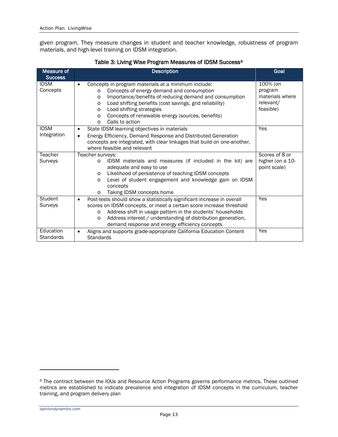given program. They measure changes in student and teacher knowledge, robustness of program materials, and high-level training on IDSM integration.

<span id="page-17-0"></span>

| Measure of<br><b>Success</b>    | <b>Description</b>                                                                                                                                                                                                                                                                                                                                                                                                                     | Goal                                                             |
|---------------------------------|----------------------------------------------------------------------------------------------------------------------------------------------------------------------------------------------------------------------------------------------------------------------------------------------------------------------------------------------------------------------------------------------------------------------------------------|------------------------------------------------------------------|
| <b>IDSM</b><br>Concepts         | Concepts in program materials at a minimum include:<br>Concepts of energy demand and consumption<br>$\circ$<br>Importance/benefits of reducing demand and consumption<br>$\circ$<br>Load shifting benefits (cost savings, grid reliability)<br>$\circ$<br>Load shifting strategies<br>$\circ$<br>Concepts of renewable energy (sources, benefits)<br>$\Omega$<br>Calls to action<br>$\Omega$                                           | 100% (on<br>program<br>materials where<br>relevant/<br>feasible) |
| <b>IDSM</b><br>Integration      | State IDSM learning objectives in materials<br>$\bullet$<br>Energy Efficiency, Demand Response and Distributed Generation<br>$\bullet$<br>concepts are integrated, with clear linkages that build on one-another,<br>where feasible and relevant                                                                                                                                                                                       | Yes                                                              |
| Teacher<br>Surveys              | Teacher surveys:<br>IDSM materials and measures (if included in the kit) are<br>$\circ$<br>adequate and easy to use<br>Likelihood of persistence of teaching IDSM concepts<br>$\circ$<br>Level of student engagement and knowledge gain on IDSM<br>$\circ$<br>concepts<br>Taking IDSM concepts home<br>$\circ$                                                                                                                         | Scores of 8 or<br>higher (on a 10-<br>point scale)               |
| Student<br>Surveys<br>Education | Post-tests should show a statistically significant increase in overall<br>$\bullet$<br>scores on IDSM concepts, or meet a certain score increase threshold<br>Address shift in usage pattern in the students' households<br>$\circ$<br>Address interest / understanding of distribution generation,<br>$\circ$<br>demand response and energy efficiency concepts<br>Aligns and supports grade-appropriate California Education Content | Yes<br>Yes                                                       |
| <b>Standards</b>                | <b>Standards</b>                                                                                                                                                                                                                                                                                                                                                                                                                       |                                                                  |

#### Table 3: Living Wise Program Measures of IDSM Success<sup>[6](#page-17-1)</sup>

<span id="page-17-1"></span><sup>6</sup> The contract between the IOUs and Resource Action Programs governs performance metrics. These outlined metrics are established to indicate prevalence and integration of IDSM concepts in the curriculum, teacher training, and program delivery plan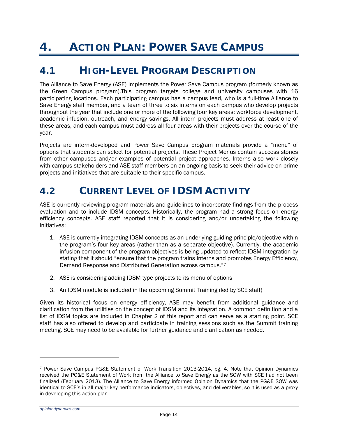# <span id="page-18-0"></span>**4. ACTION PLAN: POWER SAVE CAMPUS**

## <span id="page-18-1"></span>*4.1 HIGH-LEVEL PROGRAM DESCRIPTION*

The Alliance to Save Energy (ASE) implements the Power Save Campus program (formerly known as the Green Campus program).This program targets college and university campuses with 16 participating locations. Each participating campus has a campus lead, who is a full-time Alliance to Save Energy staff member, and a team of three to six interns on each campus who develop projects throughout the year that include one or more of the following four key areas: workforce development, academic infusion, outreach, and energy savings. All intern projects must address at least one of these areas, and each campus must address all four areas with their projects over the course of the year.

Projects are intern-developed and Power Save Campus program materials provide a "menu" of options that students can select for potential projects. These Project Menus contain success stories from other campuses and/or examples of potential project approaches. Interns also work closely with campus stakeholders and ASE staff members on an ongoing basis to seek their advice on prime projects and initiatives that are suitable to their specific campus.

## <span id="page-18-2"></span>*4.2 CURRENT LEVEL OF IDSM ACTIVITY*

ASE is currently reviewing program materials and guidelines to incorporate findings from the process evaluation and to include IDSM concepts. Historically, the program had a strong focus on energy efficiency concepts. ASE staff reported that it is considering and/or undertaking the following initiatives:

- 1. ASE is currently integrating IDSM concepts as an underlying guiding principle/objective within the program's four key areas (rather than as a separate objective). Currently, the academic infusion component of the program objectives is being updated to reflect IDSM integration by stating that it should "ensure that the program trains interns and promotes Energy Efficiency, Demand Response and Distributed Generation across campus.["7](#page-18-3)
- 2. ASE is considering adding IDSM type projects to its menu of options
- 3. An IDSM module is included in the upcoming Summit Training (led by SCE staff)

Given its historical focus on energy efficiency, ASE may benefit from additional guidance and clarification from the utilities on the concept of IDSM and its integration. A common definition and a list of IDSM topics are included in Chapter 2 of this report and can serve as a starting point. SCE staff has also offered to develop and participate in training sessions such as the Summit training meeting. SCE may need to be available for further guidance and clarification as needed.

1

<span id="page-18-3"></span><sup>7</sup> Power Save Campus PG&E Statement of Work Transition 2013-2014, pg. 4. Note that Opinion Dynamics received the PG&E Statement of Work from the Alliance to Save Energy as the SOW with SCE had not been finalized (February 2013). The Alliance to Save Energy informed Opinion Dynamics that the PG&E SOW was identical to SCE's in all major key performance indicators, objectives, and deliverables, so it is used as a proxy in developing this action plan.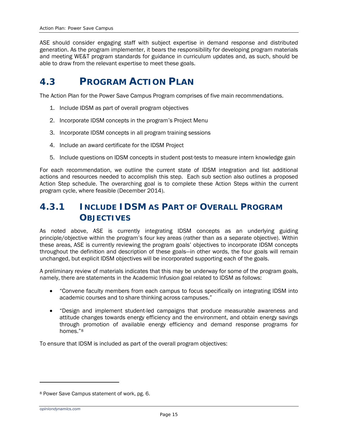ASE should consider engaging staff with subject expertise in demand response and distributed generation. As the program implementer, it bears the responsibility for developing program materials and meeting WE&T program standards for guidance in curriculum updates and, as such, should be able to draw from the relevant expertise to meet these goals.

## <span id="page-19-0"></span>*4.3 PROGRAM ACTION PLAN*

The Action Plan for the Power Save Campus Program comprises of five main recommendations.

- 1. Include IDSM as part of overall program objectives
- 2. Incorporate IDSM concepts in the program's Project Menu
- 3. Incorporate IDSM concepts in all program training sessions
- 4. Include an award certificate for the IDSM Project
- 5. Include questions on IDSM concepts in student post-tests to measure intern knowledge gain

For each recommendation, we outline the current state of IDSM integration and list additional actions and resources needed to accomplish this step. Each sub section also outlines a proposed Action Step schedule. The overarching goal is to complete these Action Steps within the current program cycle, where feasible (December 2014).

## **4.3.1 INCLUDE IDSM AS PART OF OVERALL PROGRAM OBJECTIVES**

As noted above, ASE is currently integrating IDSM concepts as an underlying guiding principle/objective within the program's four key areas (rather than as a separate objective). Within these areas, ASE is currently reviewing the program goals' objectives to incorporate IDSM concepts throughout the definition and description of these goals—in other words, the four goals will remain unchanged, but explicit IDSM objectives will be incorporated supporting each of the goals.

A preliminary review of materials indicates that this may be underway for some of the program goals, namely, there are statements in the Academic Infusion goal related to IDSM as follows:

- "Convene faculty members from each campus to focus specifically on integrating IDSM into academic courses and to share thinking across campuses."
- "Design and implement student-led campaigns that produce measurable awareness and attitude changes towards energy efficiency and the environment, and obtain energy savings through promotion of available energy efficiency and demand response programs for homes."[8](#page-19-1)

To ensure that IDSM is included as part of the overall program objectives:

1

<span id="page-19-1"></span><sup>8</sup> Power Save Campus statement of work, pg. 6.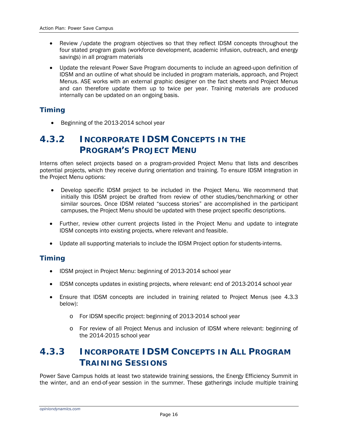- Review /update the program objectives so that they reflect IDSM concepts throughout the four stated program goals (workforce development, academic infusion, outreach, and energy savings) in all program materials
- Update the relevant Power Save Program documents to include an agreed-upon definition of IDSM and an outline of what should be included in program materials, approach, and Project Menus. ASE works with an external graphic designer on the fact sheets and Project Menus and can therefore update them up to twice per year. Training materials are produced internally can be updated on an ongoing basis.

### *Timing*

• Beginning of the 2013-2014 school year

## **4.3.2 INCORPORATE IDSM CONCEPTS IN THE PROGRAM'S PROJECT MENU**

Interns often select projects based on a program-provided Project Menu that lists and describes potential projects, which they receive during orientation and training. To ensure IDSM integration in the Project Menu options:

- Develop specific IDSM project to be included in the Project Menu. We recommend that initially this IDSM project be drafted from review of other studies/benchmarking or other similar sources. Once IDSM related "success stories" are accomplished in the participant campuses, the Project Menu should be updated with these project specific descriptions.
- Further, review other current projects listed in the Project Menu and update to integrate IDSM concepts into existing projects, where relevant and feasible.
- Update all supporting materials to include the IDSM Project option for students-interns.

### *Timing*

- IDSM project in Project Menu: beginning of 2013-2014 school year
- IDSM concepts updates in existing projects, where relevant: end of 2013-2014 school year
- Ensure that IDSM concepts are included in training related to Project Menus (see [4.3.3](#page-20-0)) below):
	- o For IDSM specific project: beginning of 2013-2014 school year
	- o For review of all Project Menus and inclusion of IDSM where relevant: beginning of the 2014-2015 school year

## <span id="page-20-0"></span>**4.3.3 INCORPORATE IDSM CONCEPTS IN ALL PROGRAM TRAINING SESSIONS**

Power Save Campus holds at least two statewide training sessions, the Energy Efficiency Summit in the winter, and an end-of-year session in the summer. These gatherings include multiple training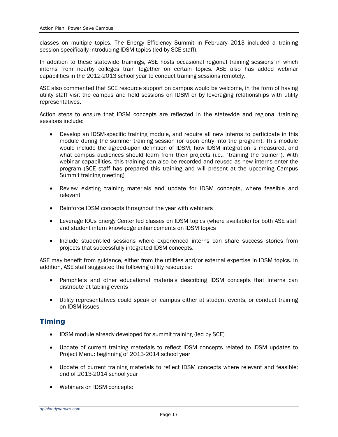classes on multiple topics. The Energy Efficiency Summit in February 2013 included a training session specifically introducing IDSM topics (led by SCE staff).

In addition to these statewide trainings, ASE hosts occasional regional training sessions in which interns from nearby colleges train together on certain topics. ASE also has added webinar capabilities in the 2012-2013 school year to conduct training sessions remotely.

ASE also commented that SCE resource support on campus would be welcome, in the form of having utility staff visit the campus and hold sessions on IDSM or by leveraging relationships with utility representatives.

Action steps to ensure that IDSM concepts are reflected in the statewide and regional training sessions include:

- Develop an IDSM-specific training module, and require all new interns to participate in this module during the summer training session (or upon entry into the program). This module would include the agreed-upon definition of IDSM, how IDSM integration is measured, and what campus audiences should learn from their projects (i.e., "training the trainer"). With webinar capabilities, this training can also be recorded and reused as new interns enter the program (SCE staff has prepared this training and will present at the upcoming Campus Summit training meeting)
- Review existing training materials and update for IDSM concepts, where feasible and relevant
- Reinforce IDSM concepts throughout the year with webinars
- Leverage IOUs Energy Center led classes on IDSM topics (where available) for both ASE staff and student intern knowledge enhancements on IDSM topics
- Include student-led sessions where experienced interns can share success stories from projects that successfully integrated IDSM concepts.

ASE may benefit from guidance, either from the utilities and/or external expertise in IDSM topics. In addition, ASE staff suggested the following utility resources:

- Pamphlets and other educational materials describing IDSM concepts that interns can distribute at tabling events
- Utility representatives could speak on campus either at student events, or conduct training on IDSM issues

### *Timing*

- IDSM module already developed for summit training (led by SCE)
- Update of current training materials to reflect IDSM concepts related to IDSM updates to Project Menu: beginning of 2013-2014 school year
- Update of current training materials to reflect IDSM concepts where relevant and feasible: end of 2013-2014 school year
- Webinars on IDSM concepts: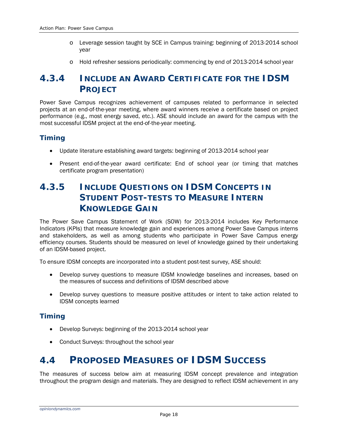- o Leverage session taught by SCE in Campus training: beginning of 2013-2014 school year
- o Hold refresher sessions periodically: commencing by end of 2013-2014 school year

## **4.3.4 INCLUDE AN AWARD CERTIFICATE FOR THE IDSM PROJECT**

Power Save Campus recognizes achievement of campuses related to performance in selected projects at an end-of-the-year meeting, where award winners receive a certificate based on project performance (e.g., most energy saved, etc.). ASE should include an award for the campus with the most successful IDSM project at the end-of-the-year meeting.

### *Timing*

- Update literature establishing award targets: beginning of 2013-2014 school year
- Present end-of-the-year award certificate: End of school year (or timing that matches certificate program presentation)

## **4.3.5 INCLUDE QUESTIONS ON IDSM CONCEPTS IN STUDENT POST-TESTS TO MEASURE INTERN KNOWLEDGE GAIN**

The Power Save Campus Statement of Work (SOW) for 2013-2014 includes Key Performance Indicators (KPIs) that measure knowledge gain and experiences among Power Save Campus interns and stakeholders, as well as among students who participate in Power Save Campus energy efficiency courses. Students should be measured on level of knowledge gained by their undertaking of an IDSM-based project.

To ensure IDSM concepts are incorporated into a student post-test survey, ASE should:

- Develop survey questions to measure IDSM knowledge baselines and increases, based on the measures of success and definitions of IDSM described above
- Develop survey questions to measure positive attitudes or intent to take action related to IDSM concepts learned

### *Timing*

- Develop Surveys: beginning of the 2013-2014 school year
- Conduct Surveys: throughout the school year

## <span id="page-22-0"></span>*4.4 PROPOSED MEASURES OF IDSM SUCCESS*

The measures of success below aim at measuring IDSM concept prevalence and integration throughout the program design and materials. They are designed to reflect IDSM achievement in any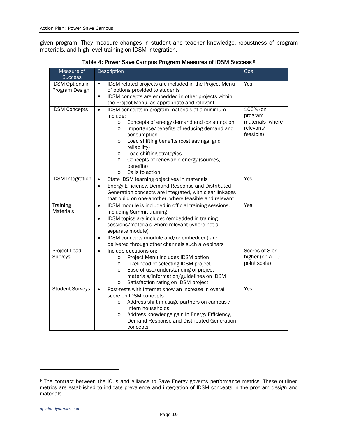given program. They measure changes in student and teacher knowledge, robustness of program materials, and high-level training on IDSM integration.

<span id="page-23-0"></span>

| Measure of                               | Description                                                                                                                                                                                                                                                                                                                                                                                                                                                         | Goal                                                             |
|------------------------------------------|---------------------------------------------------------------------------------------------------------------------------------------------------------------------------------------------------------------------------------------------------------------------------------------------------------------------------------------------------------------------------------------------------------------------------------------------------------------------|------------------------------------------------------------------|
| <b>Success</b>                           |                                                                                                                                                                                                                                                                                                                                                                                                                                                                     |                                                                  |
| <b>IDSM Options in</b><br>Program Design | IDSM-related projects are included in the Project Menu<br>٠<br>of options provided to students<br>IDSM concepts are embedded in other projects within<br>×,                                                                                                                                                                                                                                                                                                         | Yes                                                              |
| <b>IDSM Concepts</b>                     | the Project Menu, as appropriate and relevant<br>IDSM concepts in program materials at a minimum<br>$\bullet$<br>include:<br>Concepts of energy demand and consumption<br>$\circ$<br>Importance/benefits of reducing demand and<br>$\circ$<br>consumption<br>Load shifting benefits (cost savings, grid<br>$\circ$<br>reliability)<br>Load shifting strategies<br>$\circ$<br>Concepts of renewable energy (sources,<br>O<br>benefits)<br>Calls to action<br>$\circ$ | 100% (on<br>program<br>materials where<br>relevant/<br>feasible) |
| <b>IDSM</b> Integration                  | State IDSM learning objectives in materials<br>$\bullet$<br>Energy Efficiency, Demand Response and Distributed<br>$\bullet$<br>Generation concepts are integrated, with clear linkages<br>that build on one-another, where feasible and relevant                                                                                                                                                                                                                    | Yes                                                              |
| Training<br><b>Materials</b>             | IDSM module is included in official training sessions,<br>$\bullet$<br>including Summit training<br>IDSM topics are included/embedded in training<br>$\bullet$<br>sessions/materials where relevant (where not a<br>separate module)<br>IDSM concepts (module and/or embedded) are<br>$\bullet$<br>delivered through other channels such a webinars                                                                                                                 | Yes                                                              |
| <b>Project Lead</b><br>Surveys           | Include questions on:<br>$\bullet$<br>Project Menu includes IDSM option<br>$\circ$<br>Likelihood of selecting IDSM project<br>$\circ$<br>Ease of use/understanding of project<br>$\circ$<br>materials/information/guidelines on IDSM<br>Satisfaction rating on IDSM project<br>$\circ$                                                                                                                                                                              | Scores of 8 or<br>higher (on a 10-<br>point scale)               |
| <b>Student Surveys</b>                   | Post-tests with Internet show an increase in overall<br>$\bullet$<br>score on IDSM concepts<br>Address shift in usage partners on campus /<br>$\circ$<br>intern households<br>Address knowledge gain in Energy Efficiency,<br>$\circ$<br>Demand Response and Distributed Generation<br>concepts                                                                                                                                                                     | Yes                                                              |

Table 4: Power Save Campus Program Measures of IDSM Success [9](#page-23-1)

<span id="page-23-1"></span><sup>9</sup> The contract between the IOUs and Alliance to Save Energy governs performance metrics. These outlined metrics are established to indicate prevalence and integration of IDSM concepts in the program design and materials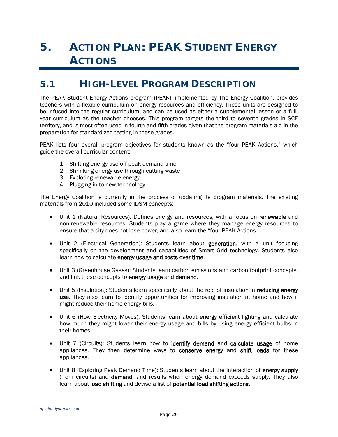# <span id="page-24-0"></span>**5. ACTION PLAN: PEAK STUDENT ENERGY ACTIONS**

## <span id="page-24-1"></span>*5.1 HIGH-LEVEL PROGRAM DESCRIPTION*

The PEAK Student Energy Actions program (PEAK), implemented by The Energy Coalition, provides teachers with a flexible curriculum on energy resources and efficiency. These units are designed to be infused into the regular curriculum, and can be used as either a supplemental lesson or a fullyear curriculum as the teacher chooses. This program targets the third to seventh grades in SCE territory, and is most often used in fourth and fifth grades given that the program materials aid in the preparation for standardized testing in these grades.

PEAK lists four overall program objectives for students known as the "four PEAK Actions," which guide the overall curricular content:

- 1. Shifting energy use off peak demand time
- 2. Shrinking energy use through cutting waste
- 3. Exploring renewable energy
- 4. Plugging in to new technology

The Energy Coalition is currently in the process of updating its program materials. The existing materials from 2010 included some IDSM concepts:

- Unit 1 (Natural Resources): Defines energy and resources, with a focus on renewable and non-renewable resources. Students play a game where they manage energy resources to ensure that a city does not lose power, and also learn the "four PEAK Actions."
- Unit 2 (Electrical Generation): Students learn about generation, with a unit focusing specifically on the development and capabilities of Smart Grid technology. Students also learn how to calculate energy usage and costs over time.
- Unit 3 (Greenhouse Gases): Students learn carbon emissions and carbon footprint concepts, and link these concepts to energy usage and demand.
- Unit 5 (Insulation): Students learn specifically about the role of insulation in reducing energy use. They also learn to identify opportunities for improving insulation at home and how it might reduce their home energy bills.
- Unit 6 (How Electricity Moves): Students learn about energy efficient lighting and calculate how much they might lower their energy usage and bills by using energy efficient bulbs in their homes.
- Unit 7 (Circuits): Students learn how to identify demand and calculate usage of home appliances. They then determine ways to conserve energy and shift loads for these appliances.
- Unit 8 (Exploring Peak Demand Time): Students learn about the interaction of energy supply (from circuits) and demand, and results when energy demand exceeds supply. They also learn about load shifting and devise a list of potential load shifting actions.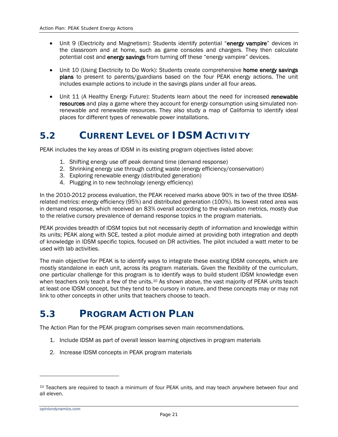- Unit 9 (Electricity and Magnetism): Students identify potential "energy vampire" devices in the classroom and at home, such as game consoles and chargers. They then calculate potential cost and energy savings from turning off these "energy vampire" devices.
- Unit 10 (Using Electricity to Do Work): Students create comprehensive home energy savings plans to present to parents/guardians based on the four PEAK energy actions. The unit includes example actions to include in the savings plans under all four areas.
- Unit 11 (A Healthy Energy Future): Students learn about the need for increased renewable resources and play a game where they account for energy consumption using simulated nonrenewable and renewable resources. They also study a map of California to identify ideal places for different types of renewable power installations.

## <span id="page-25-0"></span>*5.2 CURRENT LEVEL OF IDSM ACTIVITY*

PEAK includes the key areas of IDSM in its existing program objectives listed above:

- 1. Shifting energy use off peak demand time (demand response)
- 2. Shrinking energy use through cutting waste (energy efficiency/conservation)
- 3. Exploring renewable energy (distributed generation)
- 4. Plugging in to new technology (energy efficiency)

In the 2010-2012 process evaluation, the PEAK received marks above 90% in two of the three IDSMrelated metrics: energy efficiency (95%) and distributed generation (100%). Its lowest rated area was in demand response, which received an 83% overall according to the evaluation metrics, mostly due to the relative cursory prevalence of demand response topics in the program materials.

PEAK provides breadth of IDSM topics but not necessarily depth of information and knowledge within its units; PEAK along with SCE, tested a pilot module aimed at providing both integration and depth of knowledge in IDSM specific topics, focused on DR activities. The pilot included a watt meter to be used with lab activities.

The main objective for PEAK is to identify ways to integrate these existing IDSM concepts, which are mostly standalone in each unit, across its program materials. Given the flexibility of the curriculum, one particular challenge for this program is to identify ways to build student IDSM knowledge even when teachers only teach a few of the units.<sup>[10](#page-25-2)</sup> As shown above, the vast majority of PEAK units teach at least one IDSM concept, but they tend to be cursory in nature, and these concepts may or may not link to other concepts in other units that teachers choose to teach.

## <span id="page-25-1"></span>*5.3 PROGRAM ACTION PLAN*

The Action Plan for the PEAK program comprises seven main recommendations.

- 1. Include IDSM as part of overall lesson learning objectives in program materials
- 2. Increase IDSM concepts in PEAK program materials

<span id="page-25-2"></span><sup>&</sup>lt;sup>10</sup> Teachers are required to teach a minimum of four PEAK units, and may teach anywhere between four and all eleven.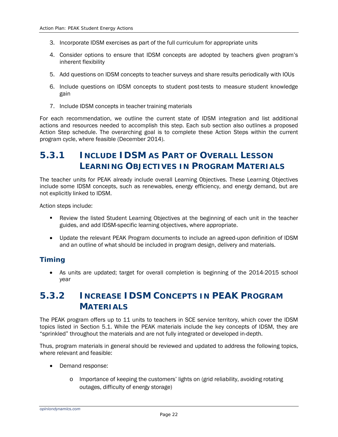- 3. Incorporate IDSM exercises as part of the full curriculum for appropriate units
- 4. Consider options to ensure that IDSM concepts are adopted by teachers given program's inherent flexibility
- 5. Add questions on IDSM concepts to teacher surveys and share results periodically with IOUs
- 6. Include questions on IDSM concepts to student post-tests to measure student knowledge gain
- 7. Include IDSM concepts in teacher training materials

For each recommendation, we outline the current state of IDSM integration and list additional actions and resources needed to accomplish this step. Each sub section also outlines a proposed Action Step schedule. The overarching goal is to complete these Action Steps within the current program cycle, where feasible (December 2014).

## **5.3.1 INCLUDE IDSM AS PART OF OVERALL LESSON LEARNING OBJECTIVES IN PROGRAM MATERIALS**

The teacher units for PEAK already include overall Learning Objectives. These Learning Objectives include some IDSM concepts, such as renewables, energy efficiency, and energy demand, but are not explicitly linked to IDSM.

Action steps include:

- Review the listed Student Learning Objectives at the beginning of each unit in the teacher guides, and add IDSM-specific learning objectives, where appropriate.
- Update the relevant PEAK Program documents to include an agreed-upon definition of IDSM and an outline of what should be included in program design, delivery and materials.

### *Timing*

• As units are updated; target for overall completion is beginning of the 2014-2015 school year

## <span id="page-26-0"></span>**5.3.2 INCREASE IDSM CONCEPTS IN PEAK PROGRAM MATERIALS**

The PEAK program offers up to 11 units to teachers in SCE service territory, which cover the IDSM topics listed in Section [5.1.](#page-24-1) While the PEAK materials include the key concepts of IDSM, they are "sprinkled" throughout the materials and are not fully integrated or developed in-depth.

Thus, program materials in general should be reviewed and updated to address the following topics, where relevant and feasible:

- Demand response:
	- o Importance of keeping the customers' lights on (grid reliability, avoiding rotating outages, difficulty of energy storage)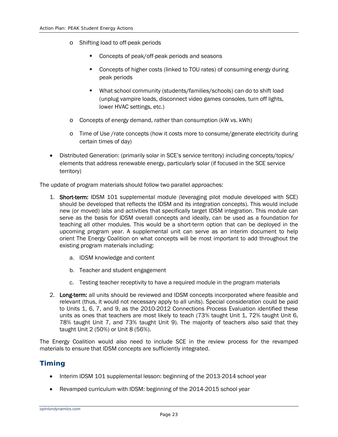- o Shifting load to off-peak periods
	- **Concepts of peak/off-peak periods and seasons**
	- Concepts of higher costs (linked to TOU rates) of consuming energy during peak periods
	- What school community (students/families/schools) can do to shift load (unplug vampire loads, disconnect video games consoles, turn off lights, lower HVAC settings, etc.)
- o Concepts of energy demand, rather than consumption (kW vs. kWh)
- o Time of Use /rate concepts (how it costs more to consume/generate electricity during certain times of day)
- Distributed Generation: (primarily solar in SCE's service territory) including concepts/topics/ elements that address renewable energy, particularly solar (if focused in the SCE service territory)

The update of program materials should follow two parallel approaches:

- 1. Short-term: IDSM 101 supplemental module (leveraging pilot module developed with SCE) should be developed that reflects the IDSM and its integration concepts). This would include new (or moved) labs and activities that specifically target IDSM integration. This module can serve as the basis for IDSM overall concepts and ideally, can be used as a foundation for teaching all other modules. This would be a short-term option that can be deployed in the upcoming program year. A supplemental unit can serve as an interim document to help orient The Energy Coalition on what concepts will be most important to add throughout the existing program materials including:
	- a. IDSM knowledge and content
	- b. Teacher and student engagement
	- c. Testing teacher receptivity to have a required module in the program materials
- 2. Long-term: all units should be reviewed and IDSM concepts incorporated where feasible and relevant (thus, it would not necessary apply to all units). Special consideration could be paid to Units 1, 6, 7, and 9, as the 2010-2012 Connections Process Evaluation identified these units as ones that teachers are most likely to teach (73% taught Unit 1, 72% taught Unit 6, 78% taught Unit 7, and 73% taught Unit 9). The majority of teachers also said that they taught Unit 2 (50%) or Unit 8 (56%).

The Energy Coalition would also need to include SCE in the review process for the revamped materials to ensure that IDSM concepts are sufficiently integrated.

### *Timing*

- Interim IDSM 101 supplemental lesson: beginning of the 2013-2014 school year
- Revamped curriculum with IDSM: beginning of the 2014-2015 school year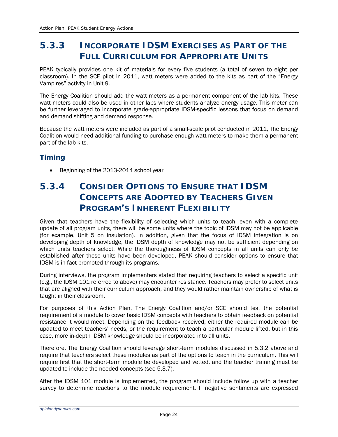## **5.3.3 INCORPORATE IDSM EXERCISES AS PART OF THE FULL CURRICULUM FOR APPROPRIATE UNITS**

PEAK typically provides one kit of materials for every five students (a total of seven to eight per classroom). In the SCE pilot in 2011, watt meters were added to the kits as part of the "Energy Vampires" activity in Unit 9.

The Energy Coalition should add the watt meters as a permanent component of the lab kits. These watt meters could also be used in other labs where students analyze energy usage. This meter can be further leveraged to incorporate grade-appropriate IDSM-specific lessons that focus on demand and demand shifting and demand response.

Because the watt meters were included as part of a small-scale pilot conducted in 2011, The Energy Coalition would need additional funding to purchase enough watt meters to make them a permanent part of the lab kits.

### *Timing*

• Beginning of the 2013-2014 school year

## **5.3.4 CONSIDER OPTIONS TO ENSURE THAT IDSM CONCEPTS ARE ADOPTED BY TEACHERS GIVEN PROGRAM'S INHERENT FLEXIBILITY**

Given that teachers have the flexibility of selecting which units to teach, even with a complete update of all program units, there will be some units where the topic of IDSM may not be applicable (for example, Unit 5 on insulation). In addition, given that the focus of IDSM integration is on developing depth of knowledge, the IDSM depth of knowledge may not be sufficient depending on which units teachers select. While the thoroughness of IDSM concepts in all units can only be established after these units have been developed, PEAK should consider options to ensure that IDSM is in fact promoted through its programs.

During interviews, the program implementers stated that requiring teachers to select a specific unit (e.g., the IDSM 101 referred to above) may encounter resistance. Teachers may prefer to select units that are aligned with their curriculum approach, and they would rather maintain ownership of what is taught in their classroom.

For purposes of this Action Plan, The Energy Coalition and/or SCE should test the potential requirement of a module to cover basic IDSM concepts with teachers to obtain feedback on potential resistance it would meet. Depending on the feedback received, either the required module can be updated to meet teachers' needs, or the requirement to teach a particular module lifted, but in this case, more in-depth IDSM knowledge should be incorporated into all units.

Therefore, The Energy Coalition should leverage short-term modules discussed in [5.3.2](#page-26-0) above and require that teachers select these modules as part of the options to teach in the curriculum. This will require first that the short-term module be developed and vetted, and the teacher training must be updated to include the needed concepts (see [5.3.7\)](#page-30-1).

After the IDSM 101 module is implemented, the program should include follow up with a teacher survey to determine reactions to the module requirement. If negative sentiments are expressed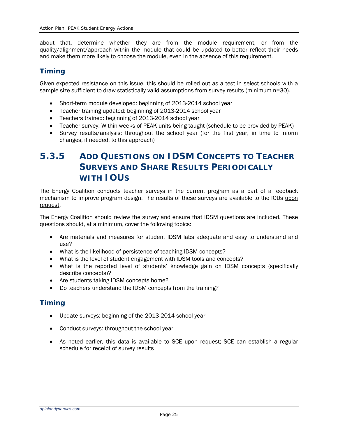about that, determine whether they are from the module requirement, or from the quality/alignment/approach within the module that could be updated to better reflect their needs and make them more likely to choose the module, even in the absence of this requirement.

### *Timing*

Given expected resistance on this issue, this should be rolled out as a test in select schools with a sample size sufficient to draw statistically valid assumptions from survey results (minimum n=30).

- Short-term module developed: beginning of 2013-2014 school year
- Teacher training updated: beginning of 2013-2014 school year
- Teachers trained: beginning of 2013-2014 school year
- Teacher survey: Within weeks of PEAK units being taught (schedule to be provided by PEAK)
- Survey results/analysis: throughout the school year (for the first year, in time to inform changes, if needed, to this approach)

## **5.3.5 ADD QUESTIONS ON IDSM CONCEPTS TO TEACHER SURVEYS AND SHARE RESULTS PERIODICALLY WITH IOUS**

The Energy Coalition conducts teacher surveys in the current program as a part of a feedback mechanism to improve program design. The results of these surveys are available to the IOUs upon request.

The Energy Coalition should review the survey and ensure that IDSM questions are included. These questions should, at a minimum, cover the following topics:

- Are materials and measures for student IDSM labs adequate and easy to understand and use?
- What is the likelihood of persistence of teaching IDSM concepts?
- What is the level of student engagement with IDSM tools and concepts?
- What is the reported level of students' knowledge gain on IDSM concepts (specifically describe concepts)?
- Are students taking IDSM concepts home?
- Do teachers understand the IDSM concepts from the training?

### *Timing*

- Update surveys: beginning of the 2013-2014 school year
- Conduct surveys: throughout the school year
- As noted earlier, this data is available to SCE upon request; SCE can establish a regular schedule for receipt of survey results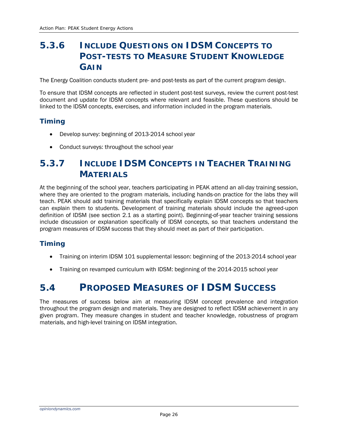## **5.3.6 INCLUDE QUESTIONS ON IDSM CONCEPTS TO POST-TESTS TO MEASURE STUDENT KNOWLEDGE GAIN**

The Energy Coalition conducts student pre- and post-tests as part of the current program design.

To ensure that IDSM concepts are reflected in student post-test surveys, review the current post-test document and update for IDSM concepts where relevant and feasible. These questions should be linked to the IDSM concepts, exercises, and information included in the program materials.

### *Timing*

- Develop survey: beginning of 2013-2014 school year
- Conduct surveys: throughout the school year

## <span id="page-30-1"></span>**5.3.7 INCLUDE IDSM CONCEPTS IN TEACHER TRAINING MATERIALS**

At the beginning of the school year, teachers participating in PEAK attend an all-day training session, where they are oriented to the program materials, including hands-on practice for the labs they will teach. PEAK should add training materials that specifically explain IDSM concepts so that teachers can explain them to students. Development of training materials should include the agreed-upon definition of IDSM (see section [2.1](#page-8-1) as a starting point). Beginning-of-year teacher training sessions include discussion or explanation specifically of IDSM concepts, so that teachers understand the program measures of IDSM success that they should meet as part of their participation.

### *Timing*

- Training on interim IDSM 101 supplemental lesson: beginning of the 2013-2014 school year
- Training on revamped curriculum with IDSM: beginning of the 2014-2015 school year

## <span id="page-30-0"></span>*5.4 PROPOSED MEASURES OF IDSM SUCCESS*

The measures of success below aim at measuring IDSM concept prevalence and integration throughout the program design and materials. They are designed to reflect IDSM achievement in any given program. They measure changes in student and teacher knowledge, robustness of program materials, and high-level training on IDSM integration.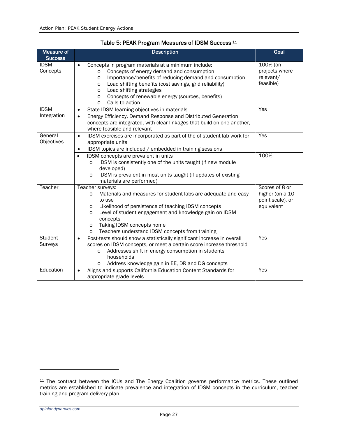<span id="page-31-0"></span>

| Measure of<br><b>Success</b> | <b>Description</b>                                                                                                                                                                                                                                                                                                                                                                    | Goal                                                                 |
|------------------------------|---------------------------------------------------------------------------------------------------------------------------------------------------------------------------------------------------------------------------------------------------------------------------------------------------------------------------------------------------------------------------------------|----------------------------------------------------------------------|
| <b>IDSM</b><br>Concepts      | Concepts in program materials at a minimum include:<br>Concepts of energy demand and consumption<br>$\circ$<br>Importance/benefits of reducing demand and consumption<br>$\circ$<br>Load shifting benefits (cost savings, grid reliability)<br>$\circ$<br>Load shifting strategies<br>$\circ$<br>Concepts of renewable energy (sources, benefits)<br>O<br>Calls to action<br>$\Omega$ | 100% (on<br>projects where<br>relevant/<br>feasible)                 |
| <b>IDSM</b><br>Integration   | State IDSM learning objectives in materials<br>$\bullet$<br>Energy Efficiency, Demand Response and Distributed Generation<br>concepts are integrated, with clear linkages that build on one-another,<br>where feasible and relevant                                                                                                                                                   | Yes                                                                  |
| General<br>Objectives        | IDSM exercises are incorporated as part of the of student lab work for<br>$\bullet$<br>appropriate units<br>IDSM topics are included / embedded in training sessions                                                                                                                                                                                                                  | Yes                                                                  |
|                              | IDSM concepts are prevalent in units<br>$\bullet$<br>IDSM is consistently one of the units taught (if new module<br>$\circ$<br>developed)<br>IDSM is prevalent in most units taught (if updates of existing<br>$\circ$<br>materials are performed)                                                                                                                                    | 100%                                                                 |
| Teacher                      | Teacher surveys:<br>Materials and measures for student labs are adequate and easy<br>$\circ$<br>to use<br>Likelihood of persistence of teaching IDSM concepts<br>O<br>Level of student engagement and knowledge gain on IDSM<br>O<br>concepts<br>Taking IDSM concepts home<br>O<br>Teachers understand IDSM concepts from training<br>$\circ$                                         | Scores of 8 or<br>higher (on a 10-<br>point scale), or<br>equivalent |
| <b>Student</b><br>Surveys    | Post-tests should show a statistically significant increase in overall<br>$\bullet$<br>scores on IDSM concepts, or meet a certain score increase threshold<br>Addresses shift in energy consumption in students<br>O<br>households<br>Address knowledge gain in EE, DR and DG concepts<br>O                                                                                           | Yes                                                                  |
| Education                    | Aligns and supports California Education Content Standards for<br>appropriate grade levels                                                                                                                                                                                                                                                                                            | Yes                                                                  |

### Table 5: PEAK Program Measures of IDSM Success [11](#page-31-1)

<span id="page-31-1"></span><sup>&</sup>lt;sup>11</sup> The contract between the IOUs and The Energy Coalition governs performance metrics. These outlined metrics are established to indicate prevalence and integration of IDSM concepts in the curriculum, teacher training and program delivery plan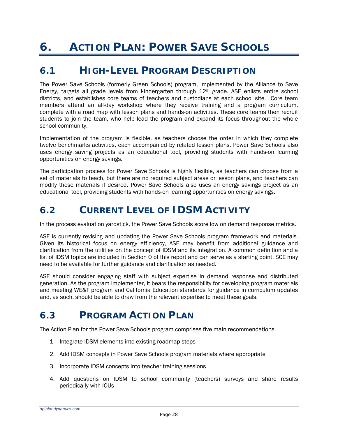# <span id="page-32-0"></span>**6. ACTION PLAN: POWER SAVE SCHOOLS**

## <span id="page-32-1"></span>*6.1 HIGH-LEVEL PROGRAM DESCRIPTION*

The Power Save Schools (formerly Green Schools) program, implemented by the Alliance to Save Energy, targets all grade levels from kindergarten through 12th grade. ASE enlists entire school districts, and establishes core teams of teachers and custodians at each school site. Core team members attend an all-day workshop where they receive training and a program curriculum, complete with a road map with lesson plans and hands-on activities. These core teams then recruit students to join the team, who help lead the program and expand its focus throughout the whole school community.

Implementation of the program is flexible, as teachers choose the order in which they complete twelve benchmarks activities, each accompanied by related lesson plans. Power Save Schools also uses energy saving projects as an educational tool, providing students with hands-on learning opportunities on energy savings.

The participation process for Power Save Schools is highly flexible, as teachers can choose from a set of materials to teach, but there are no required subject areas or lesson plans, and teachers can modify these materials if desired. Power Save Schools also uses an energy savings project as an educational tool, providing students with hands-on learning opportunities on energy savings.

## <span id="page-32-2"></span>*6.2 CURRENT LEVEL OF IDSM ACTIVITY*

In the process evaluation yardstick, the Power Save Schools score low on demand response metrics.

ASE is currently revising and updating the Power Save Schools program framework and materials. Given its historical focus on energy efficiency, ASE may benefit from additional guidance and clarification from the utilities on the concept of IDSM and its integration. A common definition and a list of IDSM topics are included in Section 0 of this report and can serve as a starting point. SCE may need to be available for further guidance and clarification as needed.

ASE should consider engaging staff with subject expertise in demand response and distributed generation. As the program implementer, it bears the responsibility for developing program materials and meeting WE&T program and California Education standards for guidance in curriculum updates and, as such, should be able to draw from the relevant expertise to meet these goals.

## <span id="page-32-3"></span>*6.3 PROGRAM ACTION PLAN*

The Action Plan for the Power Save Schools program comprises five main recommendations.

- 1. Integrate IDSM elements into existing roadmap steps
- 2. Add IDSM concepts in Power Save Schools program materials where appropriate
- 3. Incorporate IDSM concepts into teacher training sessions
- 4. Add questions on IDSM to school community (teachers) surveys and share results periodically with IOUs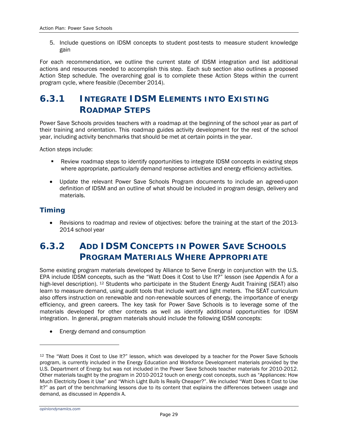5. Include questions on IDSM concepts to student post-tests to measure student knowledge gain

For each recommendation, we outline the current state of IDSM integration and list additional actions and resources needed to accomplish this step. Each sub section also outlines a proposed Action Step schedule. The overarching goal is to complete these Action Steps within the current program cycle, where feasible (December 2014).

## **6.3.1 INTEGRATE IDSM ELEMENTS INTO EXISTING ROADMAP STEPS**

Power Save Schools provides teachers with a roadmap at the beginning of the school year as part of their training and orientation. This roadmap guides activity development for the rest of the school year, including activity benchmarks that should be met at certain points in the year.

Action steps include:

- Review roadmap steps to identify opportunities to integrate IDSM concepts in existing steps where appropriate, particularly demand response activities and energy efficiency activities.
- Update the relevant Power Save Schools Program documents to include an agreed-upon definition of IDSM and an outline of what should be included in program design, delivery and materials.

### *Timing*

• Revisions to roadmap and review of objectives: before the training at the start of the 2013- 2014 school year

## **6.3.2 ADD IDSM CONCEPTS IN POWER SAVE SCHOOLS PROGRAM MATERIALS WHERE APPROPRIATE**

Some existing program materials developed by Alliance to Serve Energy in conjunction with the U.S. EPA include IDSM concepts, such as the "Watt Does it Cost to Use It?" lesson (see Appendix A for a high-level description). <sup>[12](#page-33-0)</sup> Students who participate in the Student Energy Audit Training (SEAT) also learn to measure demand, using audit tools that include watt and light meters. The SEAT curriculum also offers instruction on renewable and non-renewable sources of energy, the importance of energy efficiency, and green careers. The key task for Power Save Schools is to leverage some of the materials developed for other contexts as well as identify additional opportunities for IDSM integration. In general, program materials should include the following IDSM concepts:

• Energy demand and consumption

<span id="page-33-0"></span><sup>&</sup>lt;sup>12</sup> The "Watt Does it Cost to Use It?" lesson, which was developed by a teacher for the Power Save Schools program, is currently included in the Energy Education and Workforce Development materials provided by the U.S. Department of Energy but was not included in the Power Save Schools teacher materials for 2010-2012. Other materials taught by the program in 2010-2012 touch on energy cost concepts, such as "Appliances: How Much Electricity Does it Use" and "Which Light Bulb Is Really Cheaper?". We included "Watt Does It Cost to Use It?" as part of the benchmarking lessons due to its content that explains the differences between usage and demand, as discussed in Appendix A.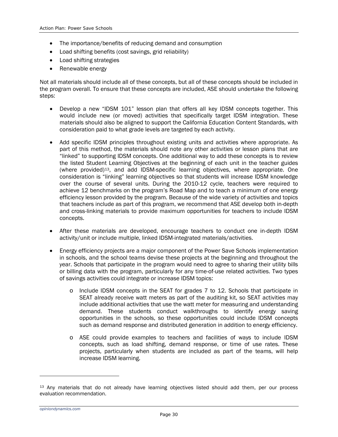- The importance/benefits of reducing demand and consumption
- Load shifting benefits (cost savings, grid reliability)
- Load shifting strategies
- Renewable energy

Not all materials should include all of these concepts, but all of these concepts should be included in the program overall. To ensure that these concepts are included, ASE should undertake the following steps:

- Develop a new "IDSM 101" lesson plan that offers all key IDSM concepts together. This would include new (or moved) activities that specifically target IDSM integration. These materials should also be aligned to support the California Education Content Standards, with consideration paid to what grade levels are targeted by each activity.
- Add specific IDSM principles throughout existing units and activities where appropriate. As part of this method, the materials should note any other activities or lesson plans that are "linked" to supporting IDSM concepts. One additional way to add these concepts is to review the listed Student Learning Objectives at the beginning of each unit in the teacher guides (where provided)[13](#page-34-0), and add IDSM-specific learning objectives, where appropriate. One consideration is "linking" learning objectives so that students will increase IDSM knowledge over the course of several units. During the 2010-12 cycle, teachers were required to achieve 12 benchmarks on the program's Road Map and to teach a minimum of one energy efficiency lesson provided by the program. Because of the wide variety of activities and topics that teachers include as part of this program, we recommend that ASE develop both in-depth and cross-linking materials to provide maximum opportunities for teachers to include IDSM concepts.
- After these materials are developed, encourage teachers to conduct one in-depth IDSM activity/unit or include multiple, linked IDSM-integrated materials/activities.
- Energy efficiency projects are a major component of the Power Save Schools implementation in schools, and the school teams devise these projects at the beginning and throughout the year. Schools that participate in the program would need to agree to sharing their utility bills or billing data with the program, particularly for any time-of-use related activities. Two types of savings activities could integrate or increase IDSM topics:
	- o Include IDSM concepts in the SEAT for grades 7 to 12. Schools that participate in SEAT already receive watt meters as part of the auditing kit, so SEAT activities may include additional activities that use the watt meter for measuring and understanding demand. These students conduct walkthroughs to identify energy saving opportunities in the schools, so these opportunities could include IDSM concepts such as demand response and distributed generation in addition to energy efficiency.
	- o ASE could provide examples to teachers and facilities of ways to include IDSM concepts, such as load shifting, demand response, or time of use rates. These projects, particularly when students are included as part of the teams, will help increase IDSM learning.

<span id="page-34-0"></span><sup>&</sup>lt;sup>13</sup> Any materials that do not already have learning objectives listed should add them, per our process evaluation recommendation.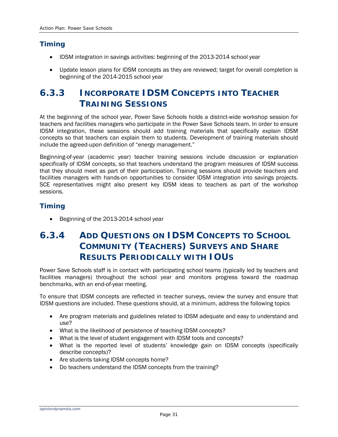### *Timing*

- IDSM integration in savings activities: beginning of the 2013-2014 school year
- Update lesson plans for IDSM concepts as they are reviewed; target for overall completion is beginning of the 2014-2015 school year

## **6.3.3 INCORPORATE IDSM CONCEPTS INTO TEACHER TRAINING SESSIONS**

At the beginning of the school year, Power Save Schools holds a district-wide workshop session for teachers and facilities managers who participate in the Power Save Schools team. In order to ensure IDSM integration, these sessions should add training materials that specifically explain IDSM concepts so that teachers can explain them to students. Development of training materials should include the agreed-upon definition of "energy management."

Beginning-of-year (academic year) teacher training sessions include discussion or explanation specifically of IDSM concepts, so that teachers understand the program measures of IDSM success that they should meet as part of their participation. Training sessions should provide teachers and facilities managers with hands-on opportunities to consider IDSM integration into savings projects. SCE representatives might also present key IDSM ideas to teachers as part of the workshop sessions.

### *Timing*

• Beginning of the 2013-2014 school year

## **6.3.4 ADD QUESTIONS ON IDSM CONCEPTS TO SCHOOL COMMUNITY (TEACHERS) SURVEYS AND SHARE RESULTS PERIODICALLY WITH IOUS**

Power Save Schools staff is in contact with participating school teams (typically led by teachers and facilities managers) throughout the school year and monitors progress toward the roadmap benchmarks, with an end-of-year meeting.

To ensure that IDSM concepts are reflected in teacher surveys, review the survey and ensure that IDSM questions are included. These questions should, at a minimum, address the following topics

- Are program materials and guidelines related to IDSM adequate and easy to understand and use?
- What is the likelihood of persistence of teaching IDSM concepts?
- What is the level of student engagement with IDSM tools and concepts?
- What is the reported level of students' knowledge gain on IDSM concepts (specifically describe concepts)?
- Are students taking IDSM concepts home?
- Do teachers understand the IDSM concepts from the training?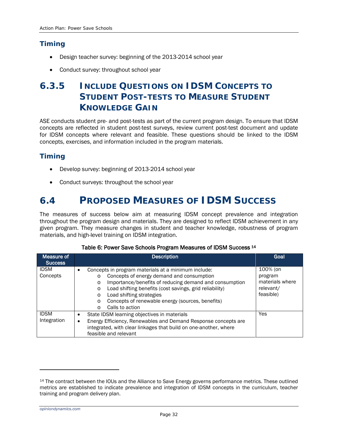### *Timing*

- Design teacher survey: beginning of the 2013-2014 school year
- Conduct survey: throughout school year

## **6.3.5 INCLUDE QUESTIONS ON IDSM CONCEPTS TO STUDENT POST-TESTS TO MEASURE STUDENT KNOWLEDGE GAIN**

ASE conducts student pre- and post-tests as part of the current program design. To ensure that IDSM concepts are reflected in student post-test surveys, review current post-test document and update for IDSM concepts where relevant and feasible. These questions should be linked to the IDSM concepts, exercises, and information included in the program materials.

### *Timing*

- Develop survey: beginning of 2013-2014 school year
- Conduct surveys: throughout the school year

## <span id="page-36-0"></span>*6.4 PROPOSED MEASURES OF IDSM SUCCESS*

The measures of success below aim at measuring IDSM concept prevalence and integration throughout the program design and materials. They are designed to reflect IDSM achievement in any given program. They measure changes in student and teacher knowledge, robustness of program materials, and high-level training on IDSM integration.

<span id="page-36-1"></span>

| Measure of<br><b>Success</b> | <b>Description</b>                                                                                                                                                                                                                                     | Goal                                                |
|------------------------------|--------------------------------------------------------------------------------------------------------------------------------------------------------------------------------------------------------------------------------------------------------|-----------------------------------------------------|
| <b>IDSM</b><br>Concepts      | Concepts in program materials at a minimum include:<br>Concepts of energy demand and consumption<br>$\circ$<br>Importance/benefits of reducing demand and consumption<br>$\circ$<br>Load shifting benefits (cost savings, grid reliability)<br>$\circ$ | 100% (on<br>program<br>materials where<br>relevant/ |
|                              | Load shifting strategies<br>$\Omega$<br>Concepts of renewable energy (sources, benefits)<br>$\circ$<br>Calls to action<br>∩                                                                                                                            | feasible)                                           |
| <b>IDSM</b><br>Integration   | State IDSM learning objectives in materials<br>Energy Efficiency, Renewables and Demand Response concepts are<br>integrated, with clear linkages that build on one-another, where<br>feasible and relevant                                             | <b>Yes</b>                                          |

#### Table 6: Power Save Schools Program Measures of IDSM Success [14](#page-36-2)

*opiniondynamics.com*

<span id="page-36-2"></span><sup>14</sup> The contract between the IOUs and the Alliance to Save Energy governs performance metrics. These outlined metrics are established to indicate prevalence and integration of IDSM concepts in the curriculum, teacher training and program delivery plan.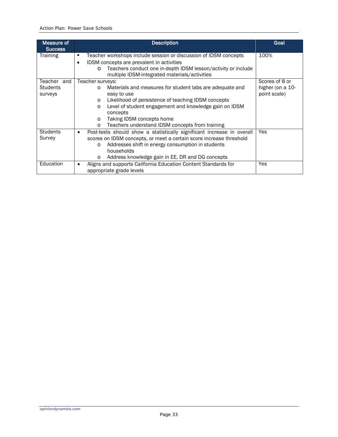| Measure of<br><b>Success</b> | <b>Description</b>                                                          | Goal             |
|------------------------------|-----------------------------------------------------------------------------|------------------|
| <b>Training</b>              | Teacher workshops include session or discussion of IDSM concepts<br>п       | 100%             |
|                              | IDSM concepts are prevalent in activities<br>٠                              |                  |
|                              | Teachers conduct one in-depth IDSM lesson/activity or include<br>$\circ$    |                  |
|                              | multiple IDSM-integrated materials/activities                               |                  |
| Teacher and                  | Teacher surveys:                                                            | Scores of 8 or   |
| <b>Students</b>              | Materials and measures for student labs are adequate and<br>$\circ$         | higher (on a 10- |
| surveys                      | easy to use                                                                 | point scale)     |
|                              | Likelihood of persistence of teaching IDSM concepts<br>$\circ$              |                  |
|                              | Level of student engagement and knowledge gain on IDSM<br>$\circ$           |                  |
|                              | concepts                                                                    |                  |
|                              | Taking IDSM concepts home<br>$\circ$                                        |                  |
|                              | Teachers understand IDSM concepts from training<br>$\circ$                  |                  |
| <b>Students</b>              | Post-tests should show a statistically significant increase in overall<br>٠ | Yes              |
| Survey                       | scores on IDSM concepts, or meet a certain score increase threshold         |                  |
|                              | Addresses shift in energy consumption in students<br>$\circ$                |                  |
|                              | households                                                                  |                  |
|                              | Address knowledge gain in EE, DR and DG concepts<br>$\circ$                 |                  |
| Education                    | Aligns and supports California Education Content Standards for<br>٠         | <b>Yes</b>       |
|                              | appropriate grade levels                                                    |                  |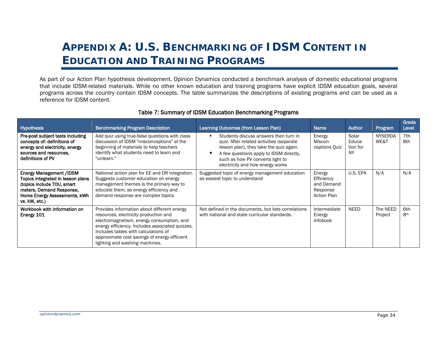# **APPENDIX A: U.S. BENCHMARKING OF IDSM CONTENT IN EDUCATION AND TRAINING PROGRAMS**

As part of our Action Plan hypothesis development, Opinion Dynamics conducted a benchmark analysis of domestic educational programs that include IDSM-related materials. While no other known education and training programs have explicit IDSM education goals, several programs across the country contain IDSM concepts. The table summarizes the descriptions of existing programs and can be used as a reference for IDSM content.

<span id="page-38-1"></span><span id="page-38-0"></span>

| <b>Hypothesis</b>                                                                                                                                                              | <b>Benchmarking Program Description</b>                                                                                                                                                                                                                                                                        | Learning Outcomes (from Lesson Plan)                                                                                                                                                                                                            | <b>Name</b>                                                          | <b>Author</b>                     | Program                | Grade<br>Level          |
|--------------------------------------------------------------------------------------------------------------------------------------------------------------------------------|----------------------------------------------------------------------------------------------------------------------------------------------------------------------------------------------------------------------------------------------------------------------------------------------------------------|-------------------------------------------------------------------------------------------------------------------------------------------------------------------------------------------------------------------------------------------------|----------------------------------------------------------------------|-----------------------------------|------------------------|-------------------------|
| Pre-post subject tests including<br>concepts of: definitions of<br>energy and electricity, energy<br>sources and resources,<br>definitions of PV                               | Add quiz using true-false questions with class<br>discussion of IDSM "misconceptions" at the<br>beginning of materials to help teachers<br>identify what students need to learn and<br>"unlearn."                                                                                                              | Students discuss answers then turn in<br>quiz. After related activities (separate<br>lesson plan), they take the quiz again.<br>A few questions apply to IDSM directly,<br>such as how PV converts light to<br>electricity and how energy works | Energy<br>Miscon-<br>ceptions Quiz                                   | Solar<br>Educa-<br>tion for<br>NY | <b>NYSERDA</b><br>WE&T | $7th-$<br>8th           |
| <b>Energy Management /IDSM</b><br>Topics integrated in lesson plans<br>(topics include TOU, smart<br>meters, Demand Response,<br>Home Energy Assessments, kWh<br>vs. kW, etc.) | National action plan for EE and DR integration.<br>Suggests customer education on energy<br>management themes is the primary way to<br>educate them, as energy efficiency and<br>demand response are complex topics                                                                                            | Suggested topic of energy management education<br>as easiest topic to understand                                                                                                                                                                | Energy<br>Efficiency<br>and Demand<br>Response<br><b>Action Plan</b> | U.S. EPA                          | N/A                    | N/A                     |
| Workbook with information on<br>Energy 101                                                                                                                                     | Provides information about different energy<br>resources, electricity production and<br>electromagnetism, energy consumption, and<br>energy efficiency. Includes associated quizzes.<br>Includes tables with calculations of<br>approximate cost savings of energy efficient<br>lighting and washing machines. | Not defined in the documents, but lists correlations<br>with national and state curricular standards.                                                                                                                                           | Intermediate<br>Energy<br>Infobook                                   | NEED                              | The NEED<br>Project    | 6th-<br>8 <sup>th</sup> |

#### Table 7: Summary of IDSM Education Benchmarking Programs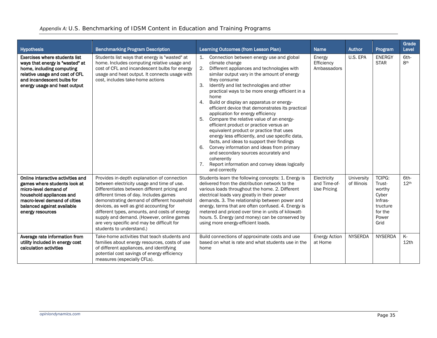| <b>Hypothesis</b>                                                                                                                                                                                        | <b>Benchmarking Program Description</b>                                                                                                                                                                                                                                                                                                                                                                                                               | Learning Outcomes (from Lesson Plan)                                                                                                                                                                                                                                                                                                                                                                                                                                                                                                                                                                                                                                                                                                                                                                                                                                   | <b>Name</b>                                | Author                    | Program                                                                                       | Grade<br>Level           |
|----------------------------------------------------------------------------------------------------------------------------------------------------------------------------------------------------------|-------------------------------------------------------------------------------------------------------------------------------------------------------------------------------------------------------------------------------------------------------------------------------------------------------------------------------------------------------------------------------------------------------------------------------------------------------|------------------------------------------------------------------------------------------------------------------------------------------------------------------------------------------------------------------------------------------------------------------------------------------------------------------------------------------------------------------------------------------------------------------------------------------------------------------------------------------------------------------------------------------------------------------------------------------------------------------------------------------------------------------------------------------------------------------------------------------------------------------------------------------------------------------------------------------------------------------------|--------------------------------------------|---------------------------|-----------------------------------------------------------------------------------------------|--------------------------|
| <b>Exercises where students list</b><br>ways that energy is "wasted" at<br>home, including computing<br>relative usage and cost of CFL<br>and incandescent bulbs for<br>energy usage and heat output     | Students list ways that energy is "wasted" at<br>home. Includes computing relative usage and<br>cost of CFL and incandescent bulbs for energy<br>usage and heat output. It connects usage with<br>cost, includes take-home actions                                                                                                                                                                                                                    | Connection between energy use and global<br>1.<br>climate change<br>2.<br>Different appliances and technologies with<br>similar output vary in the amount of energy<br>they consume<br>3.<br>Identify and list technologies and other<br>practical ways to be more energy efficient in a<br>home<br>4.<br>Build or display an apparatus or energy-<br>efficient device that demonstrates its practical<br>application for energy efficiency<br>Compare the relative value of an energy-<br>5.<br>efficient product or practice versus an<br>equivalent product or practice that uses<br>energy less efficiently, and use specific data,<br>facts, and ideas to support their findings<br>Convey information and ideas from primary<br>6.<br>and secondary sources accurately and<br>coherently<br>Report information and convey ideas logically<br>7.<br>and correctly | Energy<br>Efficiency<br>Ambassadors        | U.S. EPA                  | <b>ENERGY</b><br><b>STAR</b>                                                                  | 6th-<br>8 <sup>th</sup>  |
| Online interactive activities and<br>games where students look at<br>micro-level demand of<br>household appliances and<br>macro-level demand of cities<br>balanced against available<br>energy resources | Provides in-depth explanation of connection<br>between electricity usage and time of use.<br>Differentiates between different pricing and<br>different times of day. Includes games<br>demonstrating demand of different household<br>devices, as well as grid accounting for<br>different types, amounts, and costs of energy<br>supply and demand. (However, online games<br>are very specific and may be difficult for<br>students to understand.) | Students learn the following concepts: 1. Energy is<br>delivered from the distribution network to the<br>various loads throughout the home. 2. Different<br>electrical loads vary greatly in their power<br>demands. 3. The relationship between power and<br>energy, terms that are often confused. 4. Energy is<br>metered and priced over time in units of kilowatt-<br>hours. 5. Energy (and money) can be conserved by<br>using more energy-efficient loads.                                                                                                                                                                                                                                                                                                                                                                                                      | Electricity<br>and Time-of-<br>Use Pricing | University<br>of Illinois | <b>TCIPG:</b><br>Trust-<br>worthy<br>Cyber<br>Infras-<br>tructure<br>for the<br>Power<br>Grid | 6th-<br>12 <sup>th</sup> |
| Average rate information from<br>utility included in energy cost<br>calculation activities                                                                                                               | Take-home activities that teach students and<br>families about energy resources, costs of use<br>of different appliances, and identifying<br>potential cost savings of energy efficiency<br>measures (especially CFLs).                                                                                                                                                                                                                               | Build connections of approximate costs and use<br>based on what is rate and what students use in the<br>home                                                                                                                                                                                                                                                                                                                                                                                                                                                                                                                                                                                                                                                                                                                                                           | <b>Energy Action</b><br>at Home            | <b>NYSERDA</b>            | <b>NYSERDA</b>                                                                                | K-<br>12 <sub>th</sub>   |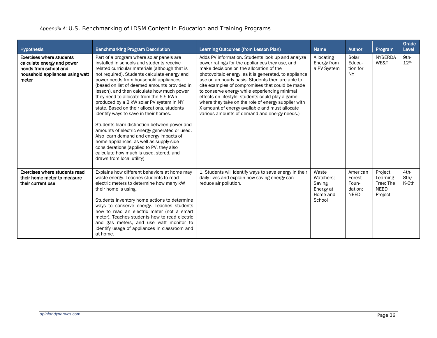#### *Appendix A: U.S. Benchmarking of IDSM Content in Education and Training Programs*

| <b>Hypothesis</b>                                                                                                                  | <b>Benchmarking Program Description</b>                                                                                                                                                                                                                                                                                                                                                                                                                                                                                                                                                                                                                                                                                                                                                                                 | Learning Outcomes (from Lesson Plan)                                                                                                                                                                                                                                                                                                                                                                                                                                                                                                                                          | <b>Name</b>                                                     | <b>Author</b>                                         | Program                                                    | Grade<br>Level           |
|------------------------------------------------------------------------------------------------------------------------------------|-------------------------------------------------------------------------------------------------------------------------------------------------------------------------------------------------------------------------------------------------------------------------------------------------------------------------------------------------------------------------------------------------------------------------------------------------------------------------------------------------------------------------------------------------------------------------------------------------------------------------------------------------------------------------------------------------------------------------------------------------------------------------------------------------------------------------|-------------------------------------------------------------------------------------------------------------------------------------------------------------------------------------------------------------------------------------------------------------------------------------------------------------------------------------------------------------------------------------------------------------------------------------------------------------------------------------------------------------------------------------------------------------------------------|-----------------------------------------------------------------|-------------------------------------------------------|------------------------------------------------------------|--------------------------|
| <b>Exercises where students</b><br>calculate energy and power<br>needs from school and<br>household appliances using watt<br>meter | Part of a program where solar panels are<br>installed in schools and students receive<br>related curricular materials (although that is<br>not required). Students calculate energy and<br>power needs from household appliances<br>(based on list of deemed amounts provided in<br>lesson), and then calculate how much power<br>they need to allocate from the 6.5 kWh<br>produced by a 2 kW solar PV system in NY<br>state. Based on their allocations, students<br>identify ways to save in their homes.<br>Students learn distinction between power and<br>amounts of electric energy generated or used.<br>Also learn demand and energy impacts of<br>home appliances, as well as supply-side<br>considerations (applied to PV, they also<br>calculate how much is used, stored, and<br>drawn from local utility) | Adds PV information. Students look up and analyze<br>power ratings for the appliances they use, and<br>make decisions on the allocation of the<br>photovoltaic energy, as it is generated, to appliance<br>use on an hourly basis. Students then are able to<br>cite examples of compromises that could be made<br>to conserve energy while experiencing minimal<br>effects on lifestyle; students could play a game<br>where they take on the role of energy supplier with<br>X amount of energy available and must allocate<br>various amounts of demand and energy needs.) | Allocating<br>Energy from<br>a PV System                        | Solar<br>Educa-<br>tion for<br><b>NY</b>              | <b>NYSERDA</b><br>WE&T                                     | 9th-<br>12 <sup>th</sup> |
| Exercises where students read<br>their home meter to measure<br>their current use                                                  | Explains how different behaviors at home may<br>waste energy. Teaches students to read<br>electric meters to determine how many kW<br>their home is using.<br>Students inventory home actions to determine<br>ways to conserve energy. Teaches students<br>how to read an electric meter (not a smart<br>meter). Teaches students how to read electric<br>and gas meters, and use watt monitor to<br>identify usage of appliances in classroom and<br>at home.                                                                                                                                                                                                                                                                                                                                                          | 1. Students will identify ways to save energy in their<br>daily lives and explain how saving energy can<br>reduce air pollution.                                                                                                                                                                                                                                                                                                                                                                                                                                              | Waste<br>Watchers:<br>Saving<br>Energy at<br>Home and<br>School | American<br>Forest<br>Foun-<br>dation:<br><b>NEED</b> | Project<br>Learning<br>Tree: The<br><b>NEED</b><br>Project | $4th-$<br>8th/<br>K-6th  |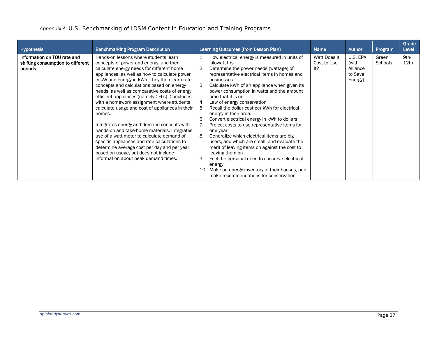|  |  |  |  | Appendix A: U.S. Benchmarking of IDSM Content in Education and Training Programs |
|--|--|--|--|----------------------------------------------------------------------------------|
|--|--|--|--|----------------------------------------------------------------------------------|

| Hypothesis                                                                  | <b>Benchmarking Program Description</b>                                                                                                                                                                                                                                                                                                                                                                                                                                                                                                                                                                                                                                                                                                                                                                            |                                                           | Learning Outcomes (from Lesson Plan)                                                                                                                                                                                                                                                                                                                                                                                                                                                                                                                                                                                                                                                                                                                                                                                               | <b>Name</b>                        | <b>Author</b>                                       | Program          | Grade<br>Level |
|-----------------------------------------------------------------------------|--------------------------------------------------------------------------------------------------------------------------------------------------------------------------------------------------------------------------------------------------------------------------------------------------------------------------------------------------------------------------------------------------------------------------------------------------------------------------------------------------------------------------------------------------------------------------------------------------------------------------------------------------------------------------------------------------------------------------------------------------------------------------------------------------------------------|-----------------------------------------------------------|------------------------------------------------------------------------------------------------------------------------------------------------------------------------------------------------------------------------------------------------------------------------------------------------------------------------------------------------------------------------------------------------------------------------------------------------------------------------------------------------------------------------------------------------------------------------------------------------------------------------------------------------------------------------------------------------------------------------------------------------------------------------------------------------------------------------------------|------------------------------------|-----------------------------------------------------|------------------|----------------|
| Information on TOU rate and<br>shifting consumption to different<br>periods | Hands-on lessons where students learn<br>concepts of power and energy, and then<br>calculate energy needs for different home<br>appliances, as well as how to calculate power<br>in kW and energy in kWh. They then learn rate<br>concepts and calculations based on energy<br>needs, as well as comparative costs of energy<br>efficient appliances (namely CFLs). Concludes<br>with a homework assignment where students<br>calculate usage and cost of appliances in their<br>homes.<br>Integrates energy and demand concepts with<br>hands-on and take-home materials. Integrates<br>use of a watt meter to calculate demand of<br>specific appliances and rate calculations to<br>determine average cost per day and per year<br>based on usage, but does not include<br>information about peak demand times. | 1.<br>2.<br>3.<br>4.<br>5.<br>6.<br>7.<br>8.<br>9.<br>10. | How electrical energy is measured in units of<br>kilowatt-hrs<br>Determine the power needs (wattage) of<br>representative electrical items in homes and<br>businesses<br>Calculate kWh of an appliance when given its<br>power consumption in watts and the amount<br>time that it is on<br>Law of energy conservation<br>Recall the dollar cost per kWh for electrical<br>energy in their area.<br>Convert electrical energy in kWh to dollars<br>Project costs to use representative items for<br>one year<br>Generalize which electrical items are big<br>users, and which are small, and evaluate the<br>merit of leaving items on against the cost to<br>leaving them on<br>Feel the personal need to conserve electrical<br>energy<br>Make an energy inventory of their houses, and<br>make recommendations for conservation | Watt Does It<br>Cost to Use<br>lt? | U.S. EPA<br>(with<br>Alliance<br>to Save<br>Energy) | Green<br>Schools | 9th-<br>12th   |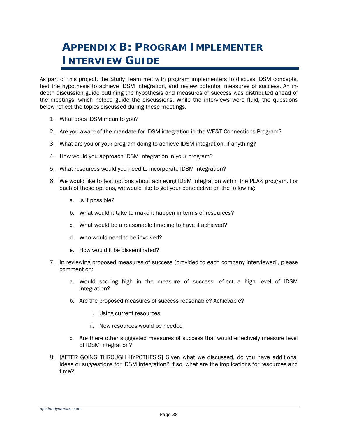# <span id="page-42-0"></span>**APPENDIX B: PROGRAM IMPLEMENTER INTERVIEW GUIDE**

As part of this project, the Study Team met with program implementers to discuss IDSM concepts, test the hypothesis to achieve IDSM integration, and review potential measures of success. An indepth discussion guide outlining the hypothesis and measures of success was distributed ahead of the meetings, which helped guide the discussions. While the interviews were fluid, the questions below reflect the topics discussed during these meetings.

- 1. What does IDSM mean to you?
- 2. Are you aware of the mandate for IDSM integration in the WE&T Connections Program?
- 3. What are you or your program doing to achieve IDSM integration, if anything?
- 4. How would you approach IDSM integration in your program?
- 5. What resources would you need to incorporate IDSM integration?
- 6. We would like to test options about achieving IDSM integration within the PEAK program. For each of these options, we would like to get your perspective on the following:
	- a. Is it possible?
	- b. What would it take to make it happen in terms of resources?
	- c. What would be a reasonable timeline to have it achieved?
	- d. Who would need to be involved?
	- e. How would it be disseminated?
- 7. In reviewing proposed measures of success (provided to each company interviewed), please comment on:
	- a. Would scoring high in the measure of success reflect a high level of IDSM integration?
	- b. Are the proposed measures of success reasonable? Achievable?
		- i. Using current resources
		- ii. New resources would be needed
	- c. Are there other suggested measures of success that would effectively measure level of IDSM integration?
- 8. [AFTER GOING THROUGH HYPOTHESIS] Given what we discussed, do you have additional ideas or suggestions for IDSM integration? If so, what are the implications for resources and time?